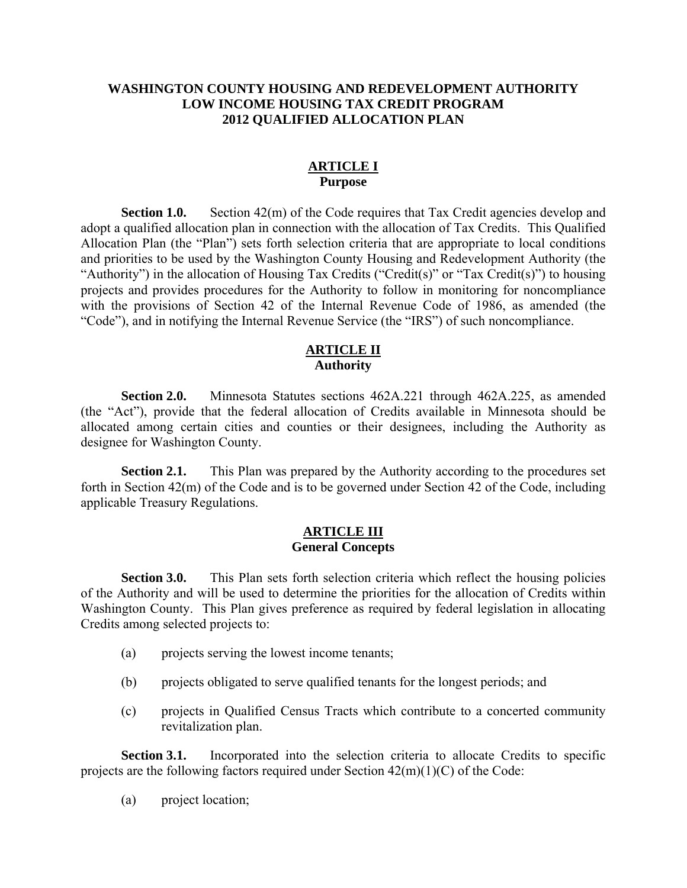## **WASHINGTON COUNTY HOUSING AND REDEVELOPMENT AUTHORITY LOW INCOME HOUSING TAX CREDIT PROGRAM 2012 QUALIFIED ALLOCATION PLAN**

## **ARTICLE I Purpose**

**Section 1.0.** Section 42(m) of the Code requires that Tax Credit agencies develop and adopt a qualified allocation plan in connection with the allocation of Tax Credits. This Qualified Allocation Plan (the "Plan") sets forth selection criteria that are appropriate to local conditions and priorities to be used by the Washington County Housing and Redevelopment Authority (the "Authority") in the allocation of Housing Tax Credits ("Credit(s)" or "Tax Credit(s)") to housing projects and provides procedures for the Authority to follow in monitoring for noncompliance with the provisions of Section 42 of the Internal Revenue Code of 1986, as amended (the "Code"), and in notifying the Internal Revenue Service (the "IRS") of such noncompliance.

## **ARTICLE II Authority**

**Section 2.0.** Minnesota Statutes sections 462A.221 through 462A.225, as amended (the "Act"), provide that the federal allocation of Credits available in Minnesota should be allocated among certain cities and counties or their designees, including the Authority as designee for Washington County.

**Section 2.1.** This Plan was prepared by the Authority according to the procedures set forth in Section 42(m) of the Code and is to be governed under Section 42 of the Code, including applicable Treasury Regulations.

#### **ARTICLE III General Concepts**

**Section 3.0.** This Plan sets forth selection criteria which reflect the housing policies of the Authority and will be used to determine the priorities for the allocation of Credits within Washington County. This Plan gives preference as required by federal legislation in allocating Credits among selected projects to:

- (a) projects serving the lowest income tenants;
- (b) projects obligated to serve qualified tenants for the longest periods; and
- (c) projects in Qualified Census Tracts which contribute to a concerted community revitalization plan.

**Section 3.1.** Incorporated into the selection criteria to allocate Credits to specific projects are the following factors required under Section  $42(m)(1)(C)$  of the Code:

(a) project location;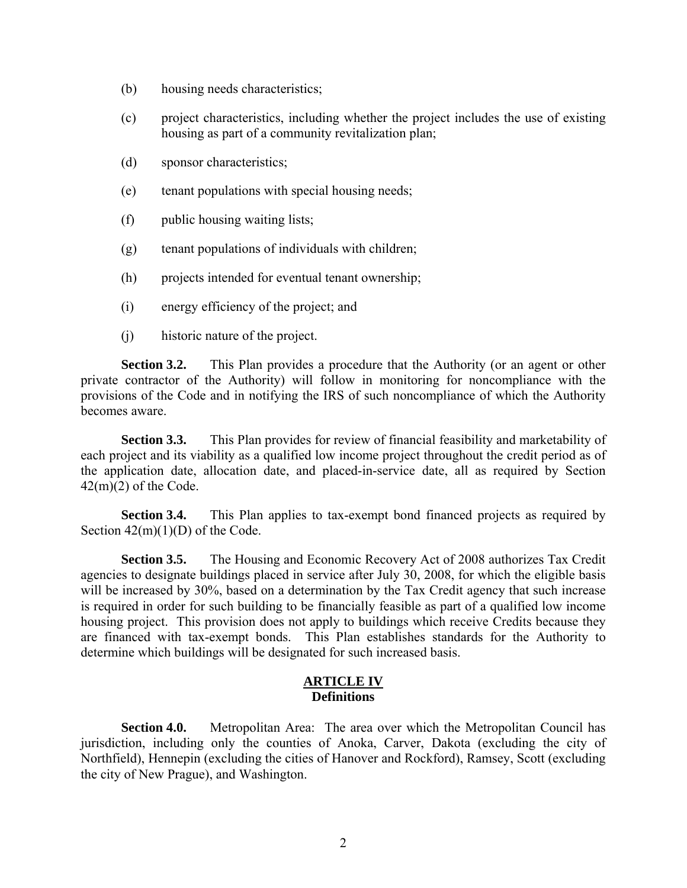- (b) housing needs characteristics;
- (c) project characteristics, including whether the project includes the use of existing housing as part of a community revitalization plan;
- (d) sponsor characteristics;
- (e) tenant populations with special housing needs;
- (f) public housing waiting lists;
- (g) tenant populations of individuals with children;
- (h) projects intended for eventual tenant ownership;
- (i) energy efficiency of the project; and
- (j) historic nature of the project.

**Section 3.2.** This Plan provides a procedure that the Authority (or an agent or other private contractor of the Authority) will follow in monitoring for noncompliance with the provisions of the Code and in notifying the IRS of such noncompliance of which the Authority becomes aware.

**Section 3.3.** This Plan provides for review of financial feasibility and marketability of each project and its viability as a qualified low income project throughout the credit period as of the application date, allocation date, and placed-in-service date, all as required by Section  $42(m)(2)$  of the Code.

**Section 3.4.** This Plan applies to tax-exempt bond financed projects as required by Section  $42(m)(1)(D)$  of the Code.

**Section 3.5.** The Housing and Economic Recovery Act of 2008 authorizes Tax Credit agencies to designate buildings placed in service after July 30, 2008, for which the eligible basis will be increased by 30%, based on a determination by the Tax Credit agency that such increase is required in order for such building to be financially feasible as part of a qualified low income housing project. This provision does not apply to buildings which receive Credits because they are financed with tax-exempt bonds. This Plan establishes standards for the Authority to determine which buildings will be designated for such increased basis.

#### **ARTICLE IV Definitions**

**Section 4.0.** Metropolitan Area: The area over which the Metropolitan Council has jurisdiction, including only the counties of Anoka, Carver, Dakota (excluding the city of Northfield), Hennepin (excluding the cities of Hanover and Rockford), Ramsey, Scott (excluding the city of New Prague), and Washington.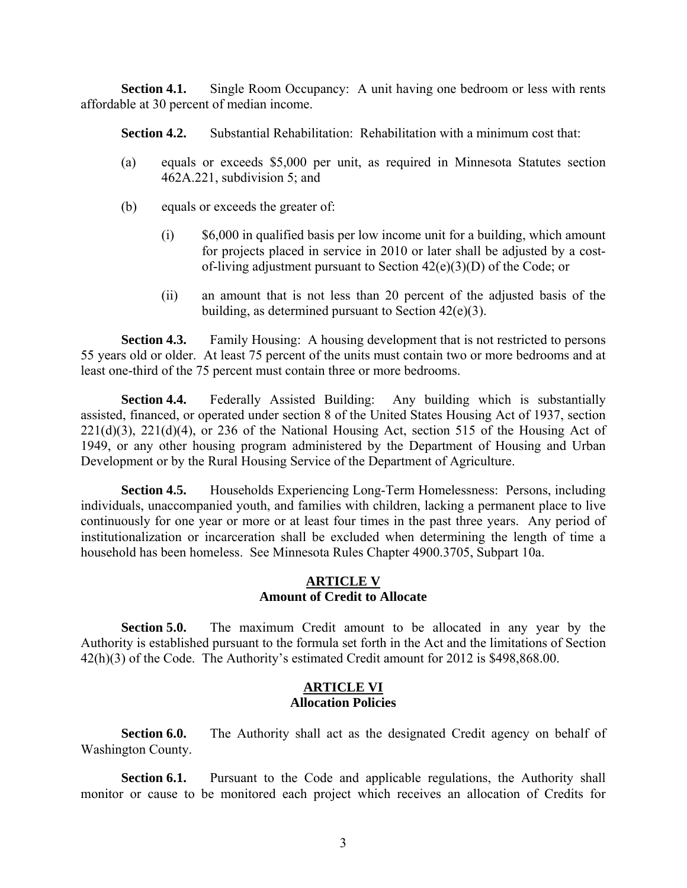**Section 4.1.** Single Room Occupancy: A unit having one bedroom or less with rents affordable at 30 percent of median income.

**Section 4.2.** Substantial Rehabilitation: Rehabilitation with a minimum cost that:

- (a) equals or exceeds \$5,000 per unit, as required in Minnesota Statutes section 462A.221, subdivision 5; and
- (b) equals or exceeds the greater of:
	- (i) \$6,000 in qualified basis per low income unit for a building, which amount for projects placed in service in 2010 or later shall be adjusted by a costof-living adjustment pursuant to Section 42(e)(3)(D) of the Code; or
	- (ii) an amount that is not less than 20 percent of the adjusted basis of the building, as determined pursuant to Section 42(e)(3).

**Section 4.3.** Family Housing: A housing development that is not restricted to persons 55 years old or older. At least 75 percent of the units must contain two or more bedrooms and at least one-third of the 75 percent must contain three or more bedrooms.

**Section 4.4.** Federally Assisted Building: Any building which is substantially assisted, financed, or operated under section 8 of the United States Housing Act of 1937, section  $221(d)(3)$ ,  $221(d)(4)$ , or 236 of the National Housing Act, section 515 of the Housing Act of 1949, or any other housing program administered by the Department of Housing and Urban Development or by the Rural Housing Service of the Department of Agriculture.

**Section 4.5.** Households Experiencing Long-Term Homelessness: Persons, including individuals, unaccompanied youth, and families with children, lacking a permanent place to live continuously for one year or more or at least four times in the past three years. Any period of institutionalization or incarceration shall be excluded when determining the length of time a household has been homeless. See Minnesota Rules Chapter 4900.3705, Subpart 10a.

## **ARTICLE V Amount of Credit to Allocate**

**Section 5.0.** The maximum Credit amount to be allocated in any year by the Authority is established pursuant to the formula set forth in the Act and the limitations of Section 42(h)(3) of the Code. The Authority's estimated Credit amount for 2012 is \$498,868.00.

#### **ARTICLE VI Allocation Policies**

**Section 6.0.** The Authority shall act as the designated Credit agency on behalf of Washington County.

**Section 6.1.** Pursuant to the Code and applicable regulations, the Authority shall monitor or cause to be monitored each project which receives an allocation of Credits for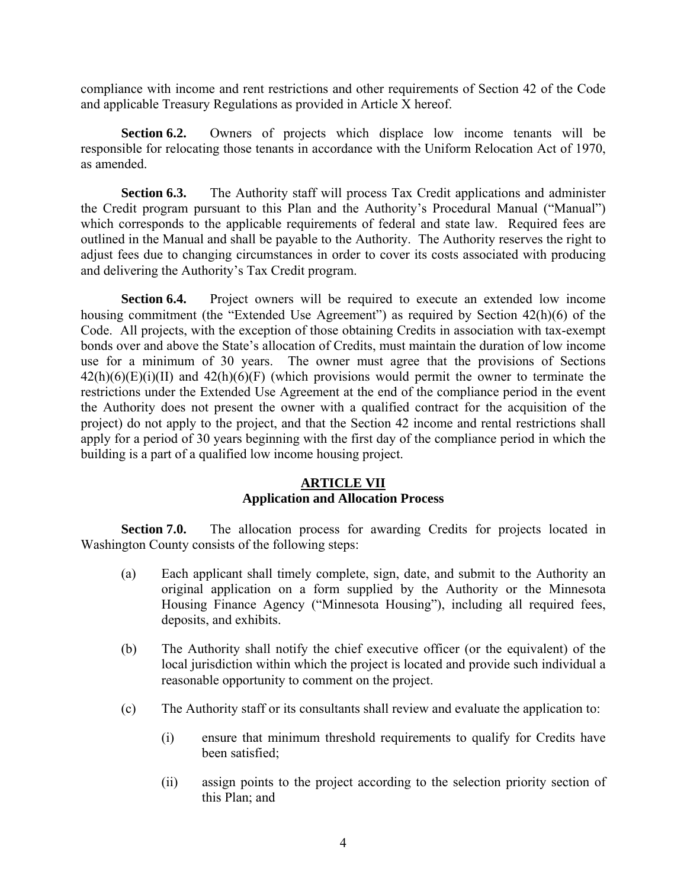compliance with income and rent restrictions and other requirements of Section 42 of the Code and applicable Treasury Regulations as provided in Article X hereof.

**Section 6.2.** Owners of projects which displace low income tenants will be responsible for relocating those tenants in accordance with the Uniform Relocation Act of 1970, as amended.

**Section 6.3.** The Authority staff will process Tax Credit applications and administer the Credit program pursuant to this Plan and the Authority's Procedural Manual ("Manual") which corresponds to the applicable requirements of federal and state law. Required fees are outlined in the Manual and shall be payable to the Authority. The Authority reserves the right to adjust fees due to changing circumstances in order to cover its costs associated with producing and delivering the Authority's Tax Credit program.

**Section 6.4.** Project owners will be required to execute an extended low income housing commitment (the "Extended Use Agreement") as required by Section 42(h)(6) of the Code. All projects, with the exception of those obtaining Credits in association with tax-exempt bonds over and above the State's allocation of Credits, must maintain the duration of low income use for a minimum of 30 years. The owner must agree that the provisions of Sections  $42(h)(6)(E)(i)(II)$  and  $42(h)(6)(F)$  (which provisions would permit the owner to terminate the restrictions under the Extended Use Agreement at the end of the compliance period in the event the Authority does not present the owner with a qualified contract for the acquisition of the project) do not apply to the project, and that the Section 42 income and rental restrictions shall apply for a period of 30 years beginning with the first day of the compliance period in which the building is a part of a qualified low income housing project.

## **ARTICLE VII Application and Allocation Process**

**Section 7.0.** The allocation process for awarding Credits for projects located in Washington County consists of the following steps:

- (a) Each applicant shall timely complete, sign, date, and submit to the Authority an original application on a form supplied by the Authority or the Minnesota Housing Finance Agency ("Minnesota Housing"), including all required fees, deposits, and exhibits.
- (b) The Authority shall notify the chief executive officer (or the equivalent) of the local jurisdiction within which the project is located and provide such individual a reasonable opportunity to comment on the project.
- (c) The Authority staff or its consultants shall review and evaluate the application to:
	- (i) ensure that minimum threshold requirements to qualify for Credits have been satisfied;
	- (ii) assign points to the project according to the selection priority section of this Plan; and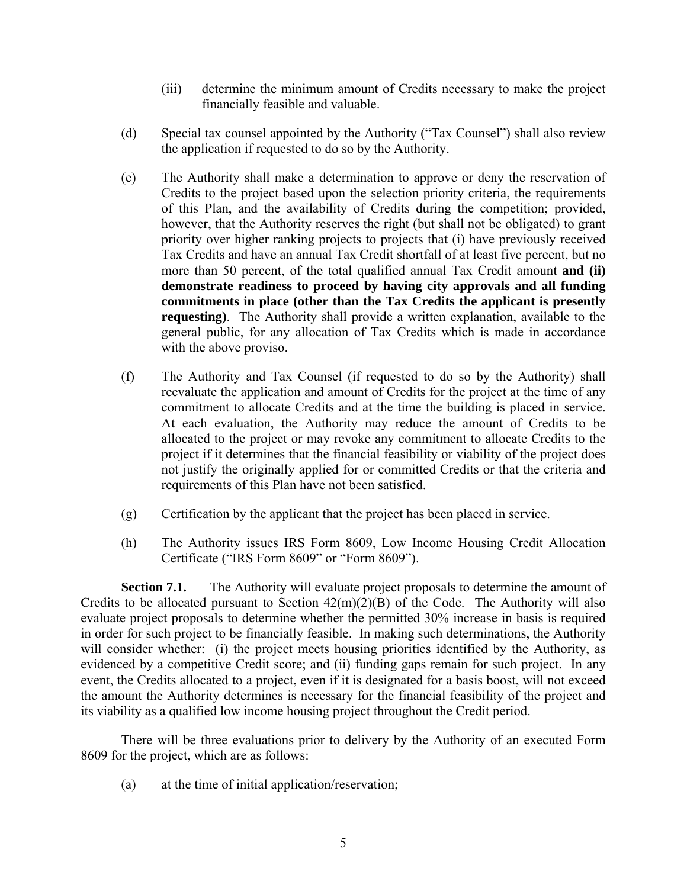- (iii) determine the minimum amount of Credits necessary to make the project financially feasible and valuable.
- (d) Special tax counsel appointed by the Authority ("Tax Counsel") shall also review the application if requested to do so by the Authority.
- (e) The Authority shall make a determination to approve or deny the reservation of Credits to the project based upon the selection priority criteria, the requirements of this Plan, and the availability of Credits during the competition; provided, however, that the Authority reserves the right (but shall not be obligated) to grant priority over higher ranking projects to projects that (i) have previously received Tax Credits and have an annual Tax Credit shortfall of at least five percent, but no more than 50 percent, of the total qualified annual Tax Credit amount **and (ii) demonstrate readiness to proceed by having city approvals and all funding commitments in place (other than the Tax Credits the applicant is presently requesting)**. The Authority shall provide a written explanation, available to the general public, for any allocation of Tax Credits which is made in accordance with the above proviso.
- (f) The Authority and Tax Counsel (if requested to do so by the Authority) shall reevaluate the application and amount of Credits for the project at the time of any commitment to allocate Credits and at the time the building is placed in service. At each evaluation, the Authority may reduce the amount of Credits to be allocated to the project or may revoke any commitment to allocate Credits to the project if it determines that the financial feasibility or viability of the project does not justify the originally applied for or committed Credits or that the criteria and requirements of this Plan have not been satisfied.
- (g) Certification by the applicant that the project has been placed in service.
- (h) The Authority issues IRS Form 8609, Low Income Housing Credit Allocation Certificate ("IRS Form 8609" or "Form 8609").

**Section 7.1.** The Authority will evaluate project proposals to determine the amount of Credits to be allocated pursuant to Section  $42(m)(2)(B)$  of the Code. The Authority will also evaluate project proposals to determine whether the permitted 30% increase in basis is required in order for such project to be financially feasible. In making such determinations, the Authority will consider whether: (i) the project meets housing priorities identified by the Authority, as evidenced by a competitive Credit score; and (ii) funding gaps remain for such project. In any event, the Credits allocated to a project, even if it is designated for a basis boost, will not exceed the amount the Authority determines is necessary for the financial feasibility of the project and its viability as a qualified low income housing project throughout the Credit period.

There will be three evaluations prior to delivery by the Authority of an executed Form 8609 for the project, which are as follows:

(a) at the time of initial application/reservation;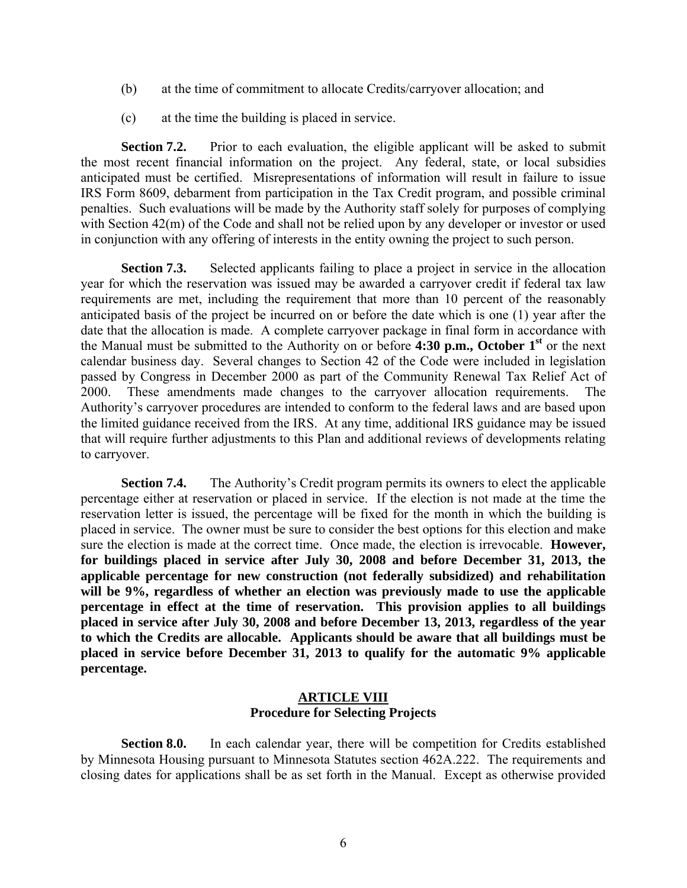- (b) at the time of commitment to allocate Credits/carryover allocation; and
- (c) at the time the building is placed in service.

**Section 7.2.** Prior to each evaluation, the eligible applicant will be asked to submit the most recent financial information on the project. Any federal, state, or local subsidies anticipated must be certified. Misrepresentations of information will result in failure to issue IRS Form 8609, debarment from participation in the Tax Credit program, and possible criminal penalties. Such evaluations will be made by the Authority staff solely for purposes of complying with Section 42(m) of the Code and shall not be relied upon by any developer or investor or used in conjunction with any offering of interests in the entity owning the project to such person.

**Section 7.3.** Selected applicants failing to place a project in service in the allocation year for which the reservation was issued may be awarded a carryover credit if federal tax law requirements are met, including the requirement that more than 10 percent of the reasonably anticipated basis of the project be incurred on or before the date which is one (1) year after the date that the allocation is made. A complete carryover package in final form in accordance with the Manual must be submitted to the Authority on or before **4:30 p.m., October 1st** or the next calendar business day. Several changes to Section 42 of the Code were included in legislation passed by Congress in December 2000 as part of the Community Renewal Tax Relief Act of 2000. These amendments made changes to the carryover allocation requirements. The Authority's carryover procedures are intended to conform to the federal laws and are based upon the limited guidance received from the IRS. At any time, additional IRS guidance may be issued that will require further adjustments to this Plan and additional reviews of developments relating to carryover.

**Section 7.4.** The Authority's Credit program permits its owners to elect the applicable percentage either at reservation or placed in service. If the election is not made at the time the reservation letter is issued, the percentage will be fixed for the month in which the building is placed in service. The owner must be sure to consider the best options for this election and make sure the election is made at the correct time. Once made, the election is irrevocable. **However, for buildings placed in service after July 30, 2008 and before December 31, 2013, the applicable percentage for new construction (not federally subsidized) and rehabilitation will be 9%, regardless of whether an election was previously made to use the applicable percentage in effect at the time of reservation. This provision applies to all buildings placed in service after July 30, 2008 and before December 13, 2013, regardless of the year to which the Credits are allocable. Applicants should be aware that all buildings must be placed in service before December 31, 2013 to qualify for the automatic 9% applicable percentage.** 

#### **ARTICLE VIII Procedure for Selecting Projects**

**Section 8.0.** In each calendar year, there will be competition for Credits established by Minnesota Housing pursuant to Minnesota Statutes section 462A.222. The requirements and closing dates for applications shall be as set forth in the Manual. Except as otherwise provided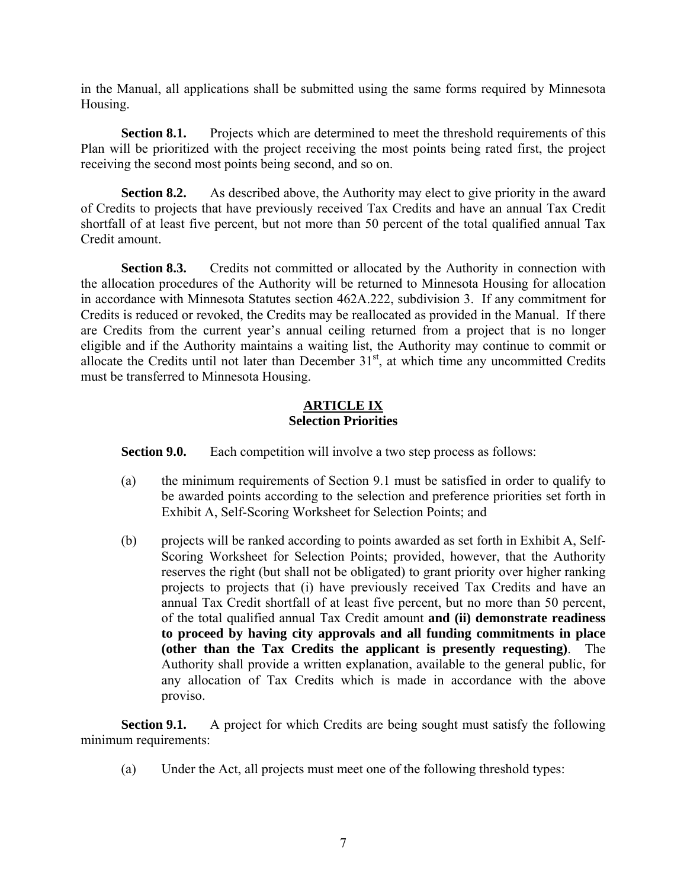in the Manual, all applications shall be submitted using the same forms required by Minnesota Housing.

**Section 8.1.** Projects which are determined to meet the threshold requirements of this Plan will be prioritized with the project receiving the most points being rated first, the project receiving the second most points being second, and so on.

**Section 8.2.** As described above, the Authority may elect to give priority in the award of Credits to projects that have previously received Tax Credits and have an annual Tax Credit shortfall of at least five percent, but not more than 50 percent of the total qualified annual Tax Credit amount.

**Section 8.3.** Credits not committed or allocated by the Authority in connection with the allocation procedures of the Authority will be returned to Minnesota Housing for allocation in accordance with Minnesota Statutes section 462A.222, subdivision 3. If any commitment for Credits is reduced or revoked, the Credits may be reallocated as provided in the Manual. If there are Credits from the current year's annual ceiling returned from a project that is no longer eligible and if the Authority maintains a waiting list, the Authority may continue to commit or allocate the Credits until not later than December  $31<sup>st</sup>$ , at which time any uncommitted Credits must be transferred to Minnesota Housing.

#### **ARTICLE IX Selection Priorities**

**Section 9.0.** Each competition will involve a two step process as follows:

- (a) the minimum requirements of Section 9.1 must be satisfied in order to qualify to be awarded points according to the selection and preference priorities set forth in Exhibit A, Self-Scoring Worksheet for Selection Points; and
- (b) projects will be ranked according to points awarded as set forth in Exhibit A, Self-Scoring Worksheet for Selection Points; provided, however, that the Authority reserves the right (but shall not be obligated) to grant priority over higher ranking projects to projects that (i) have previously received Tax Credits and have an annual Tax Credit shortfall of at least five percent, but no more than 50 percent, of the total qualified annual Tax Credit amount **and (ii) demonstrate readiness to proceed by having city approvals and all funding commitments in place (other than the Tax Credits the applicant is presently requesting)**. The Authority shall provide a written explanation, available to the general public, for any allocation of Tax Credits which is made in accordance with the above proviso.

**Section 9.1.** A project for which Credits are being sought must satisfy the following minimum requirements:

(a) Under the Act, all projects must meet one of the following threshold types: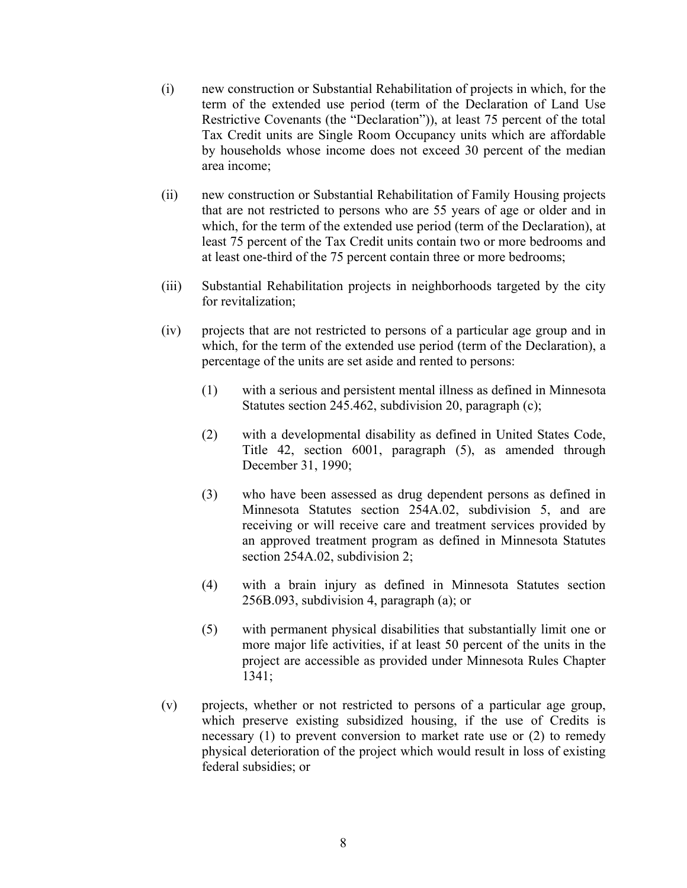- (i) new construction or Substantial Rehabilitation of projects in which, for the term of the extended use period (term of the Declaration of Land Use Restrictive Covenants (the "Declaration")), at least 75 percent of the total Tax Credit units are Single Room Occupancy units which are affordable by households whose income does not exceed 30 percent of the median area income;
- (ii) new construction or Substantial Rehabilitation of Family Housing projects that are not restricted to persons who are 55 years of age or older and in which, for the term of the extended use period (term of the Declaration), at least 75 percent of the Tax Credit units contain two or more bedrooms and at least one-third of the 75 percent contain three or more bedrooms;
- (iii) Substantial Rehabilitation projects in neighborhoods targeted by the city for revitalization;
- (iv) projects that are not restricted to persons of a particular age group and in which, for the term of the extended use period (term of the Declaration), a percentage of the units are set aside and rented to persons:
	- (1) with a serious and persistent mental illness as defined in Minnesota Statutes section 245.462, subdivision 20, paragraph (c);
	- (2) with a developmental disability as defined in United States Code, Title 42, section 6001, paragraph (5), as amended through December 31, 1990;
	- (3) who have been assessed as drug dependent persons as defined in Minnesota Statutes section 254A.02, subdivision 5, and are receiving or will receive care and treatment services provided by an approved treatment program as defined in Minnesota Statutes section 254A.02, subdivision 2;
	- (4) with a brain injury as defined in Minnesota Statutes section 256B.093, subdivision 4, paragraph (a); or
	- (5) with permanent physical disabilities that substantially limit one or more major life activities, if at least 50 percent of the units in the project are accessible as provided under Minnesota Rules Chapter 1341;
- (v) projects, whether or not restricted to persons of a particular age group, which preserve existing subsidized housing, if the use of Credits is necessary (1) to prevent conversion to market rate use or (2) to remedy physical deterioration of the project which would result in loss of existing federal subsidies; or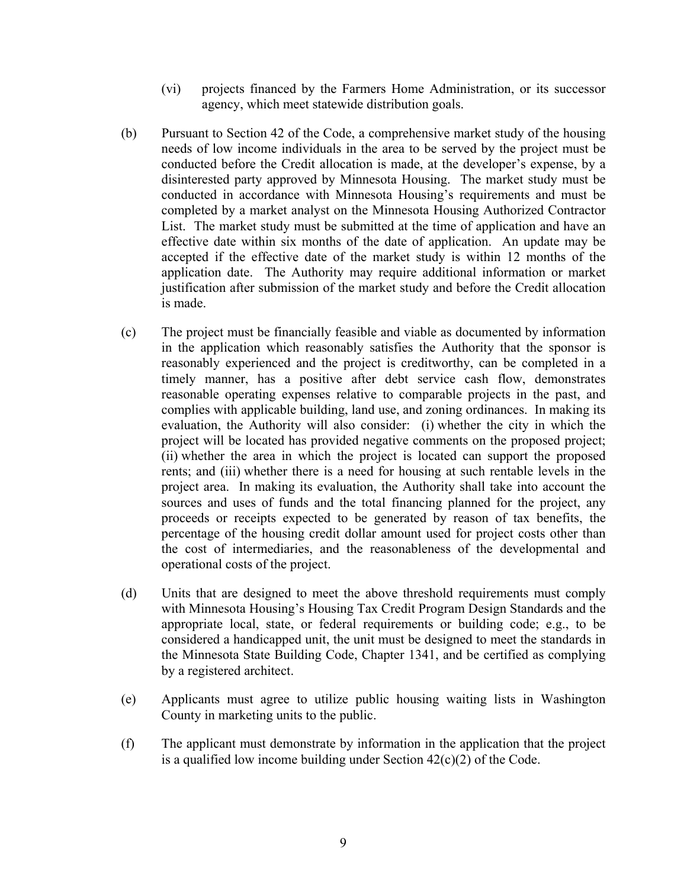- (vi) projects financed by the Farmers Home Administration, or its successor agency, which meet statewide distribution goals.
- (b) Pursuant to Section 42 of the Code, a comprehensive market study of the housing needs of low income individuals in the area to be served by the project must be conducted before the Credit allocation is made, at the developer's expense, by a disinterested party approved by Minnesota Housing. The market study must be conducted in accordance with Minnesota Housing's requirements and must be completed by a market analyst on the Minnesota Housing Authorized Contractor List. The market study must be submitted at the time of application and have an effective date within six months of the date of application. An update may be accepted if the effective date of the market study is within 12 months of the application date. The Authority may require additional information or market justification after submission of the market study and before the Credit allocation is made.
- (c) The project must be financially feasible and viable as documented by information in the application which reasonably satisfies the Authority that the sponsor is reasonably experienced and the project is creditworthy, can be completed in a timely manner, has a positive after debt service cash flow, demonstrates reasonable operating expenses relative to comparable projects in the past, and complies with applicable building, land use, and zoning ordinances. In making its evaluation, the Authority will also consider: (i) whether the city in which the project will be located has provided negative comments on the proposed project; (ii) whether the area in which the project is located can support the proposed rents; and (iii) whether there is a need for housing at such rentable levels in the project area. In making its evaluation, the Authority shall take into account the sources and uses of funds and the total financing planned for the project, any proceeds or receipts expected to be generated by reason of tax benefits, the percentage of the housing credit dollar amount used for project costs other than the cost of intermediaries, and the reasonableness of the developmental and operational costs of the project.
- (d) Units that are designed to meet the above threshold requirements must comply with Minnesota Housing's Housing Tax Credit Program Design Standards and the appropriate local, state, or federal requirements or building code; e.g., to be considered a handicapped unit, the unit must be designed to meet the standards in the Minnesota State Building Code, Chapter 1341, and be certified as complying by a registered architect.
- (e) Applicants must agree to utilize public housing waiting lists in Washington County in marketing units to the public.
- (f) The applicant must demonstrate by information in the application that the project is a qualified low income building under Section 42(c)(2) of the Code.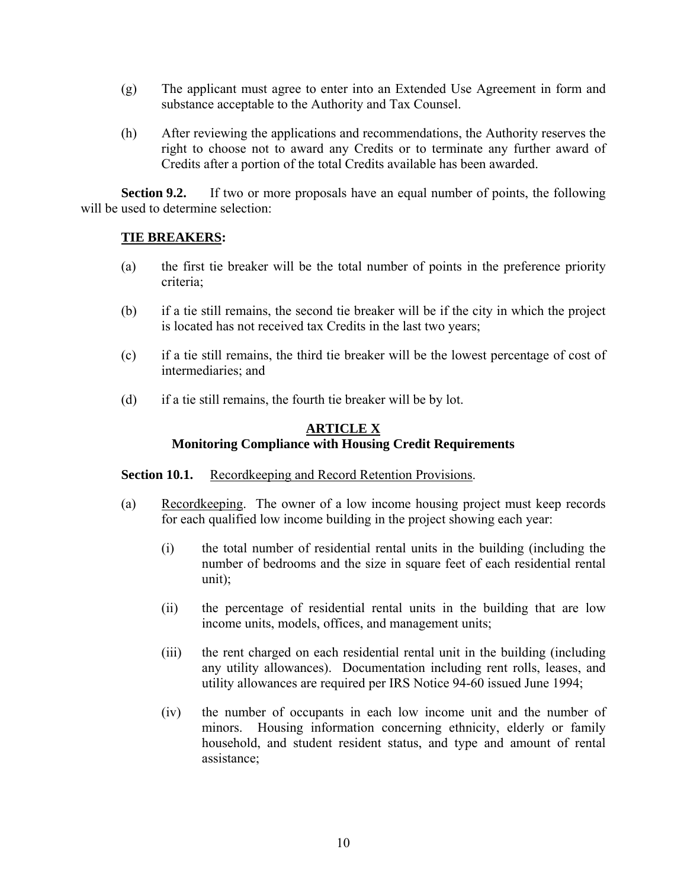- (g) The applicant must agree to enter into an Extended Use Agreement in form and substance acceptable to the Authority and Tax Counsel.
- (h) After reviewing the applications and recommendations, the Authority reserves the right to choose not to award any Credits or to terminate any further award of Credits after a portion of the total Credits available has been awarded.

**Section 9.2.** If two or more proposals have an equal number of points, the following will be used to determine selection:

## **TIE BREAKERS:**

- (a) the first tie breaker will be the total number of points in the preference priority criteria;
- (b) if a tie still remains, the second tie breaker will be if the city in which the project is located has not received tax Credits in the last two years;
- (c) if a tie still remains, the third tie breaker will be the lowest percentage of cost of intermediaries; and
- (d) if a tie still remains, the fourth tie breaker will be by lot.

## **ARTICLE X Monitoring Compliance with Housing Credit Requirements**

## **Section 10.1.** Recordkeeping and Record Retention Provisions.

- (a) Recordkeeping. The owner of a low income housing project must keep records for each qualified low income building in the project showing each year:
	- (i) the total number of residential rental units in the building (including the number of bedrooms and the size in square feet of each residential rental unit);
	- (ii) the percentage of residential rental units in the building that are low income units, models, offices, and management units;
	- (iii) the rent charged on each residential rental unit in the building (including any utility allowances). Documentation including rent rolls, leases, and utility allowances are required per IRS Notice 94-60 issued June 1994;
	- (iv) the number of occupants in each low income unit and the number of minors. Housing information concerning ethnicity, elderly or family household, and student resident status, and type and amount of rental assistance;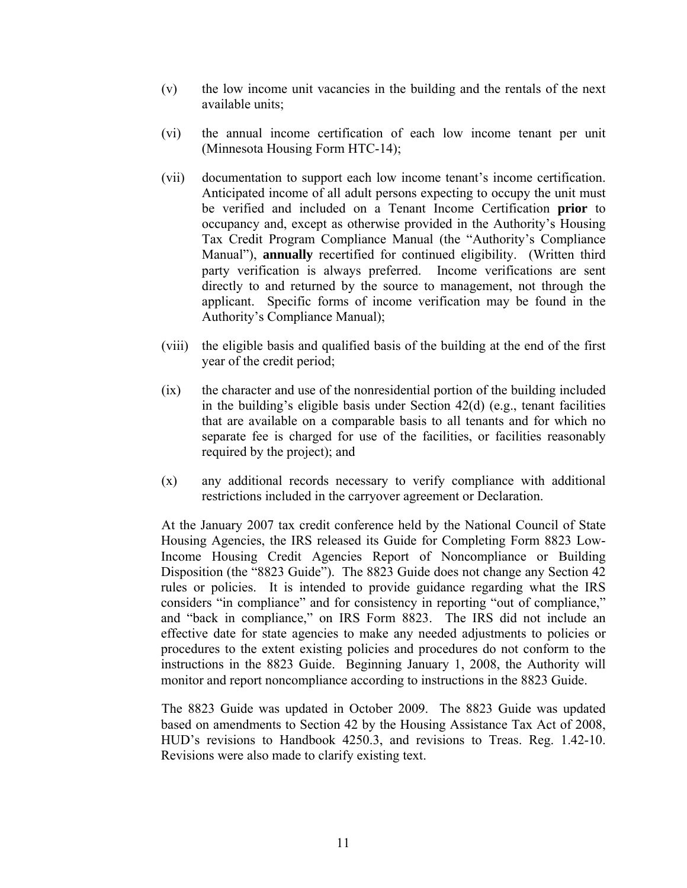- (v) the low income unit vacancies in the building and the rentals of the next available units;
- (vi) the annual income certification of each low income tenant per unit (Minnesota Housing Form HTC-14);
- (vii) documentation to support each low income tenant's income certification. Anticipated income of all adult persons expecting to occupy the unit must be verified and included on a Tenant Income Certification **prior** to occupancy and, except as otherwise provided in the Authority's Housing Tax Credit Program Compliance Manual (the "Authority's Compliance Manual"), **annually** recertified for continued eligibility. (Written third party verification is always preferred. Income verifications are sent directly to and returned by the source to management, not through the applicant. Specific forms of income verification may be found in the Authority's Compliance Manual);
- (viii) the eligible basis and qualified basis of the building at the end of the first year of the credit period;
- (ix) the character and use of the nonresidential portion of the building included in the building's eligible basis under Section 42(d) (e.g., tenant facilities that are available on a comparable basis to all tenants and for which no separate fee is charged for use of the facilities, or facilities reasonably required by the project); and
- (x) any additional records necessary to verify compliance with additional restrictions included in the carryover agreement or Declaration.

At the January 2007 tax credit conference held by the National Council of State Housing Agencies, the IRS released its Guide for Completing Form 8823 Low-Income Housing Credit Agencies Report of Noncompliance or Building Disposition (the "8823 Guide"). The 8823 Guide does not change any Section 42 rules or policies. It is intended to provide guidance regarding what the IRS considers "in compliance" and for consistency in reporting "out of compliance," and "back in compliance," on IRS Form 8823. The IRS did not include an effective date for state agencies to make any needed adjustments to policies or procedures to the extent existing policies and procedures do not conform to the instructions in the 8823 Guide. Beginning January 1, 2008, the Authority will monitor and report noncompliance according to instructions in the 8823 Guide.

The 8823 Guide was updated in October 2009. The 8823 Guide was updated based on amendments to Section 42 by the Housing Assistance Tax Act of 2008, HUD's revisions to Handbook 4250.3, and revisions to Treas. Reg. 1.42-10. Revisions were also made to clarify existing text.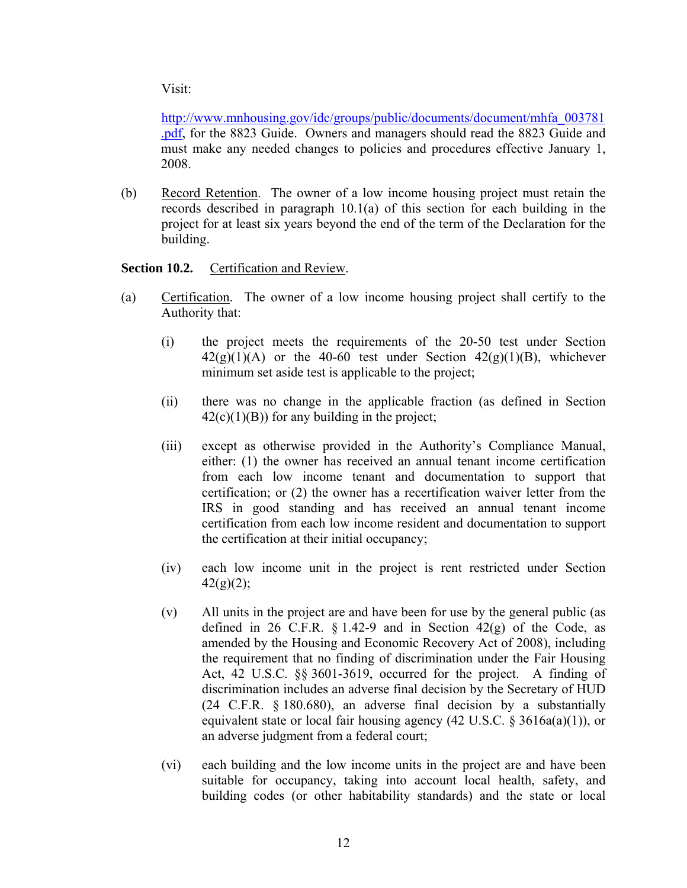Visit:

[http://www.mnhousing.gov/idc/groups/public/documents/document/mhfa\\_003781](http://www.mnhousing.gov/idc/groups/public/documents/document/mhfa_003781.pdf) [.pdf,](http://www.mnhousing.gov/idc/groups/public/documents/document/mhfa_003781.pdf) for the 8823 Guide. Owners and managers should read the 8823 Guide and must make any needed changes to policies and procedures effective January 1, 2008.

(b) Record Retention. The owner of a low income housing project must retain the records described in paragraph 10.1(a) of this section for each building in the project for at least six years beyond the end of the term of the Declaration for the building.

## **Section 10.2.** Certification and Review.

- (a) Certification. The owner of a low income housing project shall certify to the Authority that:
	- (i) the project meets the requirements of the 20-50 test under Section  $42(g)(1)(A)$  or the 40-60 test under Section  $42(g)(1)(B)$ , whichever minimum set aside test is applicable to the project;
	- (ii) there was no change in the applicable fraction (as defined in Section  $42(c)(1)(B)$ ) for any building in the project;
	- (iii) except as otherwise provided in the Authority's Compliance Manual, either: (1) the owner has received an annual tenant income certification from each low income tenant and documentation to support that certification; or (2) the owner has a recertification waiver letter from the IRS in good standing and has received an annual tenant income certification from each low income resident and documentation to support the certification at their initial occupancy;
	- (iv) each low income unit in the project is rent restricted under Section  $42(g)(2)$ ;
	- (v) All units in the project are and have been for use by the general public (as defined in 26 C.F.R.  $\S 1.42-9$  and in Section  $42(g)$  of the Code, as amended by the Housing and Economic Recovery Act of 2008), including the requirement that no finding of discrimination under the Fair Housing Act, 42 U.S.C. §§ 3601-3619, occurred for the project. A finding of discrimination includes an adverse final decision by the Secretary of HUD (24 C.F.R. § 180.680), an adverse final decision by a substantially equivalent state or local fair housing agency (42 U.S.C. § 3616a(a)(1)), or an adverse judgment from a federal court;
	- (vi) each building and the low income units in the project are and have been suitable for occupancy, taking into account local health, safety, and building codes (or other habitability standards) and the state or local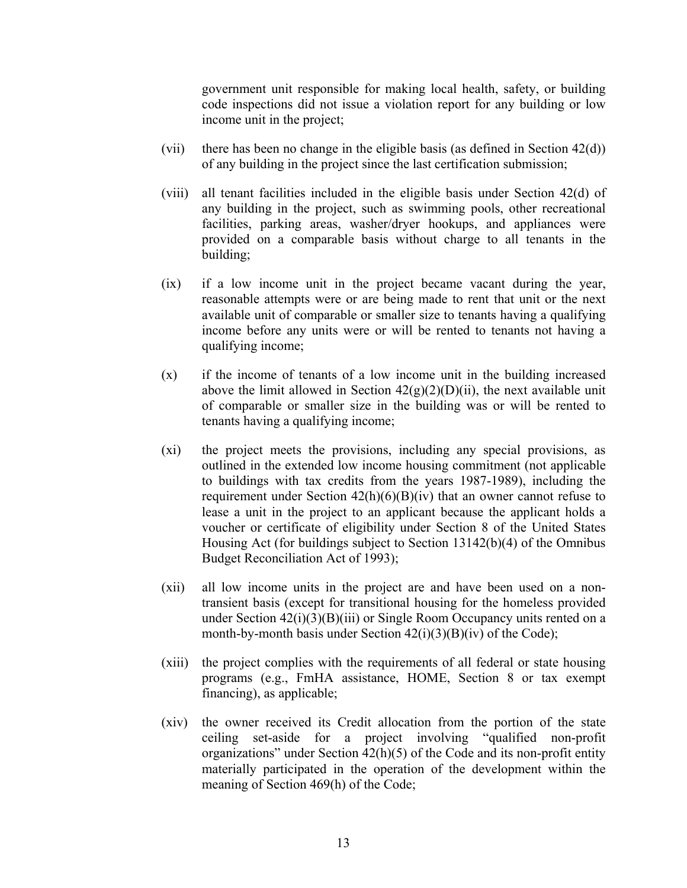government unit responsible for making local health, safety, or building code inspections did not issue a violation report for any building or low income unit in the project;

- (vii) there has been no change in the eligible basis (as defined in Section  $42(d)$ ) of any building in the project since the last certification submission;
- (viii) all tenant facilities included in the eligible basis under Section 42(d) of any building in the project, such as swimming pools, other recreational facilities, parking areas, washer/dryer hookups, and appliances were provided on a comparable basis without charge to all tenants in the building;
- (ix) if a low income unit in the project became vacant during the year, reasonable attempts were or are being made to rent that unit or the next available unit of comparable or smaller size to tenants having a qualifying income before any units were or will be rented to tenants not having a qualifying income;
- (x) if the income of tenants of a low income unit in the building increased above the limit allowed in Section  $42(g)(2)(D)(ii)$ , the next available unit of comparable or smaller size in the building was or will be rented to tenants having a qualifying income;
- (xi) the project meets the provisions, including any special provisions, as outlined in the extended low income housing commitment (not applicable to buildings with tax credits from the years 1987-1989), including the requirement under Section  $42(h)(6)(B)(iv)$  that an owner cannot refuse to lease a unit in the project to an applicant because the applicant holds a voucher or certificate of eligibility under Section 8 of the United States Housing Act (for buildings subject to Section 13142(b)(4) of the Omnibus Budget Reconciliation Act of 1993);
- (xii) all low income units in the project are and have been used on a nontransient basis (except for transitional housing for the homeless provided under Section 42(i)(3)(B)(iii) or Single Room Occupancy units rented on a month-by-month basis under Section  $42(i)(3)(B)(iv)$  of the Code);
- (xiii) the project complies with the requirements of all federal or state housing programs (e.g., FmHA assistance, HOME, Section 8 or tax exempt financing), as applicable;
- (xiv) the owner received its Credit allocation from the portion of the state ceiling set-aside for a project involving "qualified non-profit organizations" under Section 42(h)(5) of the Code and its non-profit entity materially participated in the operation of the development within the meaning of Section 469(h) of the Code;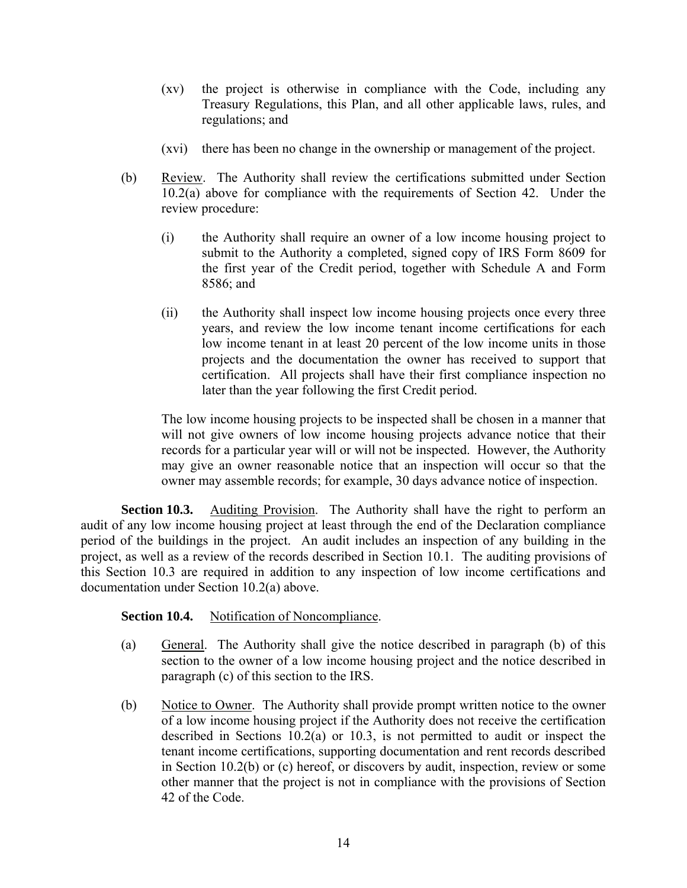- (xv) the project is otherwise in compliance with the Code, including any Treasury Regulations, this Plan, and all other applicable laws, rules, and regulations; and
- (xvi) there has been no change in the ownership or management of the project.
- (b) Review. The Authority shall review the certifications submitted under Section 10.2(a) above for compliance with the requirements of Section 42. Under the review procedure:
	- (i) the Authority shall require an owner of a low income housing project to submit to the Authority a completed, signed copy of IRS Form 8609 for the first year of the Credit period, together with Schedule A and Form 8586; and
	- (ii) the Authority shall inspect low income housing projects once every three years, and review the low income tenant income certifications for each low income tenant in at least 20 percent of the low income units in those projects and the documentation the owner has received to support that certification. All projects shall have their first compliance inspection no later than the year following the first Credit period.

The low income housing projects to be inspected shall be chosen in a manner that will not give owners of low income housing projects advance notice that their records for a particular year will or will not be inspected. However, the Authority may give an owner reasonable notice that an inspection will occur so that the owner may assemble records; for example, 30 days advance notice of inspection.

**Section 10.3.** Auditing Provision. The Authority shall have the right to perform an audit of any low income housing project at least through the end of the Declaration compliance period of the buildings in the project. An audit includes an inspection of any building in the project, as well as a review of the records described in Section 10.1. The auditing provisions of this Section 10.3 are required in addition to any inspection of low income certifications and documentation under Section 10.2(a) above.

## **Section 10.4.** Notification of Noncompliance.

- (a) General. The Authority shall give the notice described in paragraph (b) of this section to the owner of a low income housing project and the notice described in paragraph (c) of this section to the IRS.
- (b) Notice to Owner. The Authority shall provide prompt written notice to the owner of a low income housing project if the Authority does not receive the certification described in Sections 10.2(a) or 10.3, is not permitted to audit or inspect the tenant income certifications, supporting documentation and rent records described in Section 10.2(b) or (c) hereof, or discovers by audit, inspection, review or some other manner that the project is not in compliance with the provisions of Section 42 of the Code.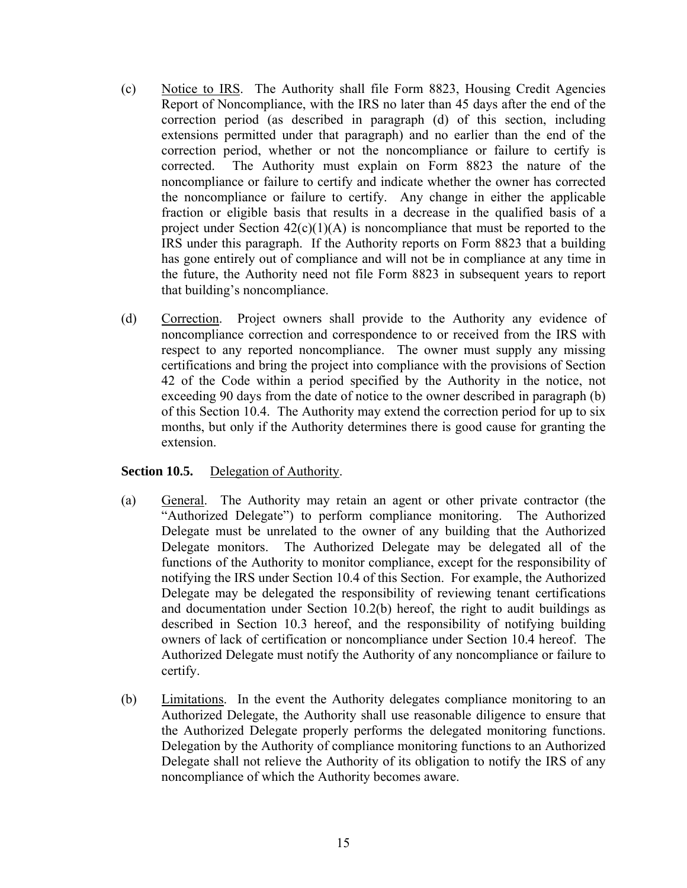- (c) Notice to IRS. The Authority shall file Form 8823, Housing Credit Agencies Report of Noncompliance, with the IRS no later than 45 days after the end of the correction period (as described in paragraph (d) of this section, including extensions permitted under that paragraph) and no earlier than the end of the correction period, whether or not the noncompliance or failure to certify is corrected. The Authority must explain on Form 8823 the nature of the noncompliance or failure to certify and indicate whether the owner has corrected the noncompliance or failure to certify. Any change in either the applicable fraction or eligible basis that results in a decrease in the qualified basis of a project under Section  $42(c)(1)(A)$  is noncompliance that must be reported to the IRS under this paragraph. If the Authority reports on Form 8823 that a building has gone entirely out of compliance and will not be in compliance at any time in the future, the Authority need not file Form 8823 in subsequent years to report that building's noncompliance.
- (d) Correction. Project owners shall provide to the Authority any evidence of noncompliance correction and correspondence to or received from the IRS with respect to any reported noncompliance. The owner must supply any missing certifications and bring the project into compliance with the provisions of Section 42 of the Code within a period specified by the Authority in the notice, not exceeding 90 days from the date of notice to the owner described in paragraph (b) of this Section 10.4. The Authority may extend the correction period for up to six months, but only if the Authority determines there is good cause for granting the extension.

## **Section 10.5.** Delegation of Authority.

- (a) General. The Authority may retain an agent or other private contractor (the "Authorized Delegate") to perform compliance monitoring. The Authorized Delegate must be unrelated to the owner of any building that the Authorized Delegate monitors. The Authorized Delegate may be delegated all of the functions of the Authority to monitor compliance, except for the responsibility of notifying the IRS under Section 10.4 of this Section. For example, the Authorized Delegate may be delegated the responsibility of reviewing tenant certifications and documentation under Section 10.2(b) hereof, the right to audit buildings as described in Section 10.3 hereof, and the responsibility of notifying building owners of lack of certification or noncompliance under Section 10.4 hereof. The Authorized Delegate must notify the Authority of any noncompliance or failure to certify.
- (b) Limitations. In the event the Authority delegates compliance monitoring to an Authorized Delegate, the Authority shall use reasonable diligence to ensure that the Authorized Delegate properly performs the delegated monitoring functions. Delegation by the Authority of compliance monitoring functions to an Authorized Delegate shall not relieve the Authority of its obligation to notify the IRS of any noncompliance of which the Authority becomes aware.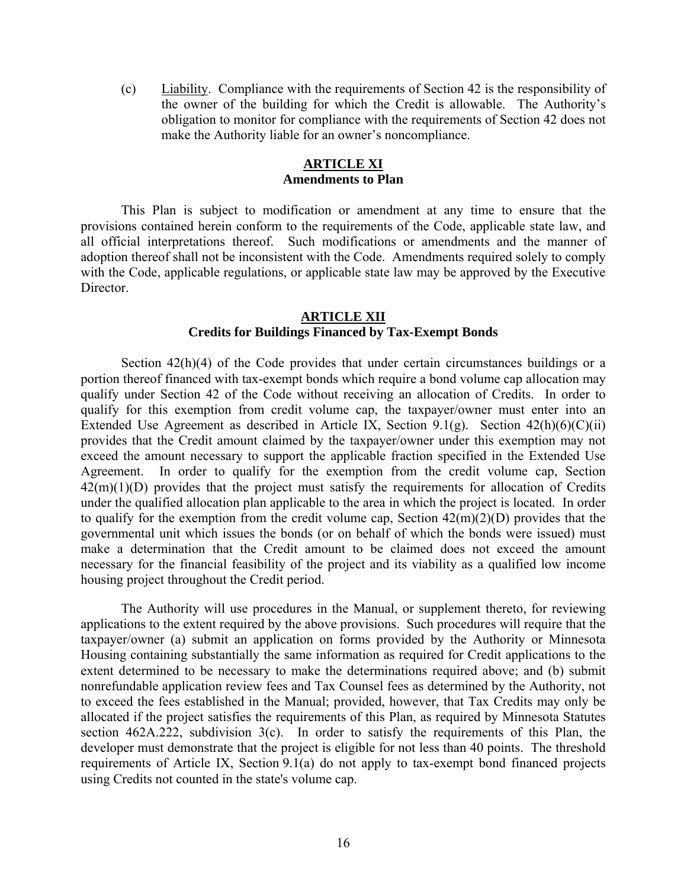(c) Liability. Compliance with the requirements of Section 42 is the responsibility of the owner of the building for which the Credit is allowable. The Authority's obligation to monitor for compliance with the requirements of Section 42 does not make the Authority liable for an owner's noncompliance.

#### **ARTICLE XI Amendments to Plan**

This Plan is subject to modification or amendment at any time to ensure that the provisions contained herein conform to the requirements of the Code, applicable state law, and all official interpretations thereof. Such modifications or amendments and the manner of adoption thereof shall not be inconsistent with the Code. Amendments required solely to comply with the Code, applicable regulations, or applicable state law may be approved by the Executive Director.

## **ARTICLE XII Credits for Buildings Financed by Tax-Exempt Bonds**

Section 42(h)(4) of the Code provides that under certain circumstances buildings or a portion thereof financed with tax-exempt bonds which require a bond volume cap allocation may qualify under Section 42 of the Code without receiving an allocation of Credits. In order to qualify for this exemption from credit volume cap, the taxpayer/owner must enter into an Extended Use Agreement as described in Article IX, Section 9.1(g). Section  $42(h)(6)(C)(ii)$ provides that the Credit amount claimed by the taxpayer/owner under this exemption may not exceed the amount necessary to support the applicable fraction specified in the Extended Use Agreement. In order to qualify for the exemption from the credit volume cap, Section  $42(m)(1)(D)$  provides that the project must satisfy the requirements for allocation of Credits under the qualified allocation plan applicable to the area in which the project is located. In order to qualify for the exemption from the credit volume cap, Section  $42(m)(2)(D)$  provides that the governmental unit which issues the bonds (or on behalf of which the bonds were issued) must make a determination that the Credit amount to be claimed does not exceed the amount necessary for the financial feasibility of the project and its viability as a qualified low income housing project throughout the Credit period.

The Authority will use procedures in the Manual, or supplement thereto, for reviewing applications to the extent required by the above provisions. Such procedures will require that the taxpayer/owner (a) submit an application on forms provided by the Authority or Minnesota Housing containing substantially the same information as required for Credit applications to the extent determined to be necessary to make the determinations required above; and (b) submit nonrefundable application review fees and Tax Counsel fees as determined by the Authority, not to exceed the fees established in the Manual; provided, however, that Tax Credits may only be allocated if the project satisfies the requirements of this Plan, as required by Minnesota Statutes section  $462A.222$ , subdivision  $3(c)$ . In order to satisfy the requirements of this Plan, the developer must demonstrate that the project is eligible for not less than 40 points. The threshold requirements of Article IX, Section 9.1(a) do not apply to tax-exempt bond financed projects using Credits not counted in the state's volume cap.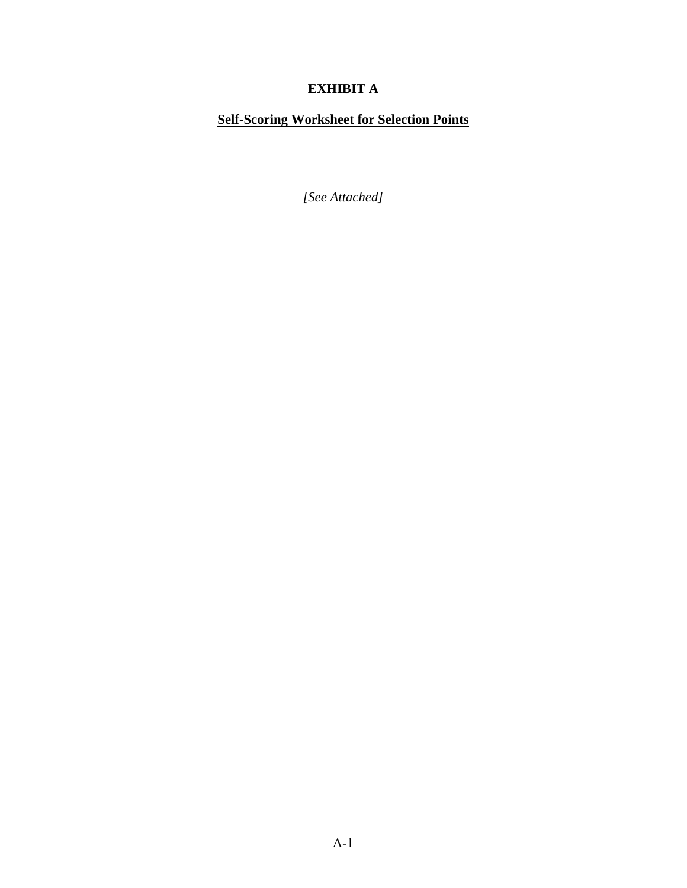## **EXHIBIT A**

# **Self-Scoring Worksheet for Selection Points**

*[See Attached]*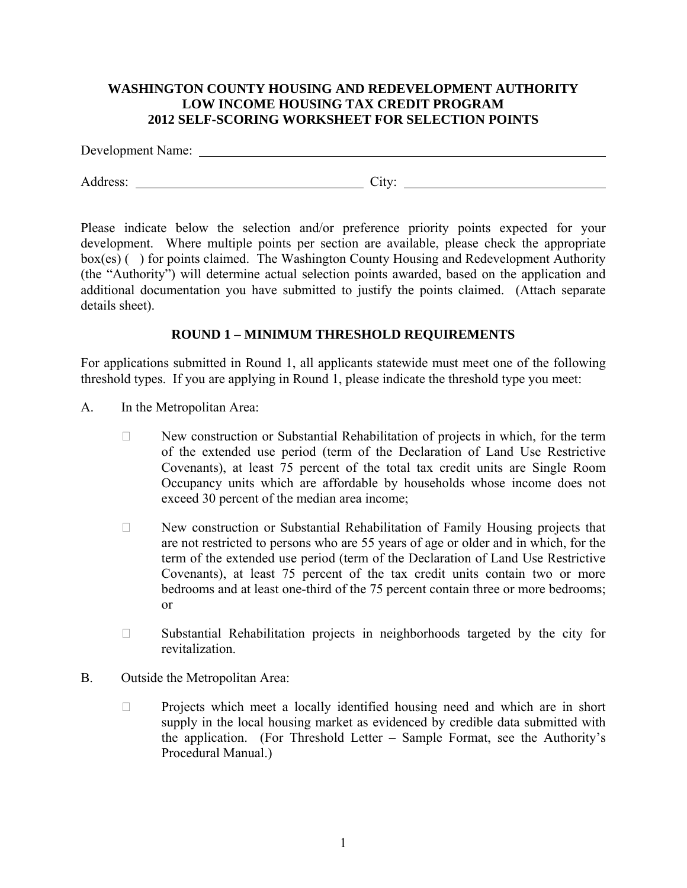## **WASHINGTON COUNTY HOUSING AND REDEVELOPMENT AUTHORITY LOW INCOME HOUSING TAX CREDIT PROGRAM 2012 SELF-SCORING WORKSHEET FOR SELECTION POINTS**

Development Name:

Address: City: City: City: City: City: City: City: City: City: City: City: City: City: City: City: City: City: City: City: City: City: City: City: City: City: City: City: City: City: City: City: City: City: City: City: Cit

Please indicate below the selection and/or preference priority points expected for your development. Where multiple points per section are available, please check the appropriate box(es) () for points claimed. The Washington County Housing and Redevelopment Authority (the "Authority") will determine actual selection points awarded, based on the application and additional documentation you have submitted to justify the points claimed. (Attach separate details sheet).

## **ROUND 1 – MINIMUM THRESHOLD REQUIREMENTS**

For applications submitted in Round 1, all applicants statewide must meet one of the following threshold types. If you are applying in Round 1, please indicate the threshold type you meet:

- A. In the Metropolitan Area:
	- $\Box$  New construction or Substantial Rehabilitation of projects in which, for the term of the extended use period (term of the Declaration of Land Use Restrictive Covenants), at least 75 percent of the total tax credit units are Single Room Occupancy units which are affordable by households whose income does not exceed 30 percent of the median area income;
	- $\Box$  New construction or Substantial Rehabilitation of Family Housing projects that are not restricted to persons who are 55 years of age or older and in which, for the term of the extended use period (term of the Declaration of Land Use Restrictive Covenants), at least 75 percent of the tax credit units contain two or more bedrooms and at least one-third of the 75 percent contain three or more bedrooms; or
	- $\Box$  Substantial Rehabilitation projects in neighborhoods targeted by the city for revitalization.
- B. Outside the Metropolitan Area:
	- $\Box$  Projects which meet a locally identified housing need and which are in short supply in the local housing market as evidenced by credible data submitted with the application. (For Threshold Letter – Sample Format, see the Authority's Procedural Manual.)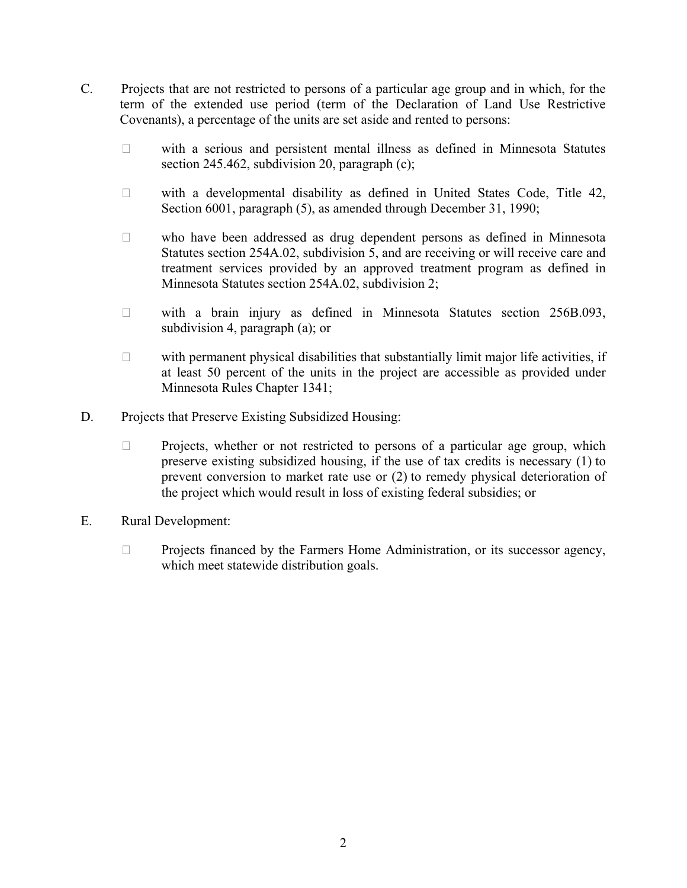- C. Projects that are not restricted to persons of a particular age group and in which, for the term of the extended use period (term of the Declaration of Land Use Restrictive Covenants), a percentage of the units are set aside and rented to persons:
	- $\Box$  with a serious and persistent mental illness as defined in Minnesota Statutes section 245.462, subdivision 20, paragraph (c);
	- $\Box$  with a developmental disability as defined in United States Code, Title 42, Section 6001, paragraph (5), as amended through December 31, 1990;
	- who have been addressed as drug dependent persons as defined in Minnesota Statutes section 254A.02, subdivision 5, and are receiving or will receive care and treatment services provided by an approved treatment program as defined in Minnesota Statutes section 254A.02, subdivision 2;
	- $\Box$  with a brain injury as defined in Minnesota Statutes section 256B.093, subdivision 4, paragraph (a); or
	- $\Box$  with permanent physical disabilities that substantially limit major life activities, if at least 50 percent of the units in the project are accessible as provided under Minnesota Rules Chapter 1341;
- D. Projects that Preserve Existing Subsidized Housing:
	- $\Box$  Projects, whether or not restricted to persons of a particular age group, which preserve existing subsidized housing, if the use of tax credits is necessary (1) to prevent conversion to market rate use or (2) to remedy physical deterioration of the project which would result in loss of existing federal subsidies; or
- E. Rural Development:
	- $\Box$  Projects financed by the Farmers Home Administration, or its successor agency, which meet statewide distribution goals.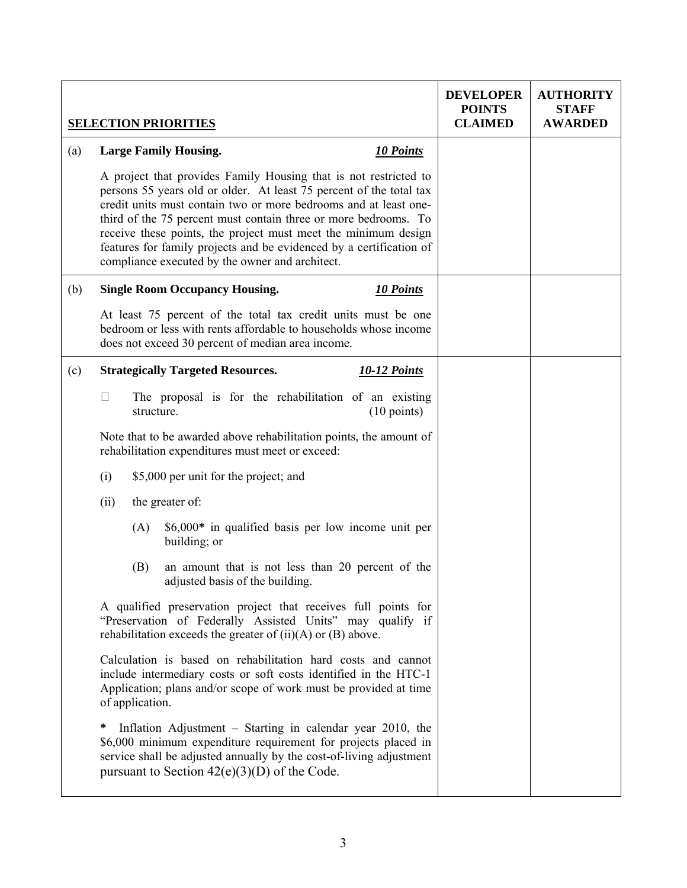|     |                                                                 |                 | <b>SELECTION PRIORITIES</b>                                                                                                                                                                                                                                                                                                                                                                                                                                                |  | <b>DEVELOPER</b><br><b>POINTS</b><br><b>CLAIMED</b> | <b>AUTHORITY</b><br><b>STAFF</b><br><b>AWARDED</b> |
|-----|-----------------------------------------------------------------|-----------------|----------------------------------------------------------------------------------------------------------------------------------------------------------------------------------------------------------------------------------------------------------------------------------------------------------------------------------------------------------------------------------------------------------------------------------------------------------------------------|--|-----------------------------------------------------|----------------------------------------------------|
| (a) |                                                                 |                 | <b>Large Family Housing.</b><br>10 Points                                                                                                                                                                                                                                                                                                                                                                                                                                  |  |                                                     |                                                    |
|     |                                                                 |                 | A project that provides Family Housing that is not restricted to<br>persons 55 years old or older. At least 75 percent of the total tax<br>credit units must contain two or more bedrooms and at least one-<br>third of the 75 percent must contain three or more bedrooms. To<br>receive these points, the project must meet the minimum design<br>features for family projects and be evidenced by a certification of<br>compliance executed by the owner and architect. |  |                                                     |                                                    |
| (b) |                                                                 |                 | <b>Single Room Occupancy Housing.</b><br>10 Points                                                                                                                                                                                                                                                                                                                                                                                                                         |  |                                                     |                                                    |
|     |                                                                 |                 | At least 75 percent of the total tax credit units must be one<br>bedroom or less with rents affordable to households whose income<br>does not exceed 30 percent of median area income.                                                                                                                                                                                                                                                                                     |  |                                                     |                                                    |
| (c) | <b>Strategically Targeted Resources.</b><br><b>10-12 Points</b> |                 |                                                                                                                                                                                                                                                                                                                                                                                                                                                                            |  |                                                     |                                                    |
|     | Ш                                                               | structure.      | The proposal is for the rehabilitation of an existing<br>$(10 \text{ points})$                                                                                                                                                                                                                                                                                                                                                                                             |  |                                                     |                                                    |
|     |                                                                 |                 | Note that to be awarded above rehabilitation points, the amount of<br>rehabilitation expenditures must meet or exceed:                                                                                                                                                                                                                                                                                                                                                     |  |                                                     |                                                    |
|     | (i)                                                             |                 | \$5,000 per unit for the project; and                                                                                                                                                                                                                                                                                                                                                                                                                                      |  |                                                     |                                                    |
|     | (ii)                                                            |                 | the greater of:                                                                                                                                                                                                                                                                                                                                                                                                                                                            |  |                                                     |                                                    |
|     |                                                                 | (A)             | \$6,000* in qualified basis per low income unit per<br>building; or                                                                                                                                                                                                                                                                                                                                                                                                        |  |                                                     |                                                    |
|     |                                                                 | (B)             | an amount that is not less than 20 percent of the<br>adjusted basis of the building.                                                                                                                                                                                                                                                                                                                                                                                       |  |                                                     |                                                    |
|     |                                                                 |                 | A qualified preservation project that receives full points for<br>"Preservation of Federally Assisted Units" may qualify if<br>rehabilitation exceeds the greater of $(ii)(A)$ or $(B)$ above.                                                                                                                                                                                                                                                                             |  |                                                     |                                                    |
|     |                                                                 | of application. | Calculation is based on rehabilitation hard costs and cannot<br>include intermediary costs or soft costs identified in the HTC-1<br>Application; plans and/or scope of work must be provided at time                                                                                                                                                                                                                                                                       |  |                                                     |                                                    |
|     | ∗                                                               |                 | Inflation Adjustment – Starting in calendar year 2010, the<br>\$6,000 minimum expenditure requirement for projects placed in<br>service shall be adjusted annually by the cost-of-living adjustment<br>pursuant to Section $42(e)(3)(D)$ of the Code.                                                                                                                                                                                                                      |  |                                                     |                                                    |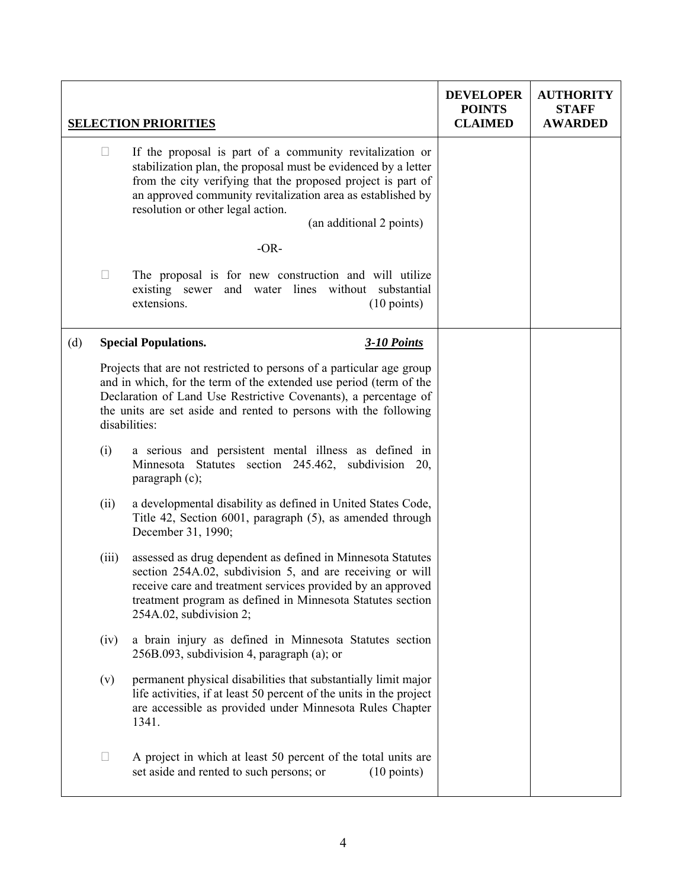|     |        | <b>SELECTION PRIORITIES</b>                                                                                                                                                                                                                                                                                                | <b>DEVELOPER</b><br><b>POINTS</b><br><b>CLAIMED</b> | <b>AUTHORITY</b><br><b>STAFF</b><br><b>AWARDED</b> |
|-----|--------|----------------------------------------------------------------------------------------------------------------------------------------------------------------------------------------------------------------------------------------------------------------------------------------------------------------------------|-----------------------------------------------------|----------------------------------------------------|
|     | $\Box$ | If the proposal is part of a community revitalization or<br>stabilization plan, the proposal must be evidenced by a letter<br>from the city verifying that the proposed project is part of<br>an approved community revitalization area as established by<br>resolution or other legal action.<br>(an additional 2 points) |                                                     |                                                    |
|     |        | $-OR-$                                                                                                                                                                                                                                                                                                                     |                                                     |                                                    |
|     | Ш      | The proposal is for new construction and will utilize<br>existing sewer and water lines without substantial<br>extensions.<br>$(10 \text{ points})$                                                                                                                                                                        |                                                     |                                                    |
| (d) |        | <b>Special Populations.</b><br><b>3-10 Points</b>                                                                                                                                                                                                                                                                          |                                                     |                                                    |
|     |        | Projects that are not restricted to persons of a particular age group<br>and in which, for the term of the extended use period (term of the<br>Declaration of Land Use Restrictive Covenants), a percentage of<br>the units are set aside and rented to persons with the following<br>disabilities:                        |                                                     |                                                    |
|     | (i)    | a serious and persistent mental illness as defined in<br>Minnesota Statutes section 245.462, subdivision 20,<br>paragraph $(c)$ ;                                                                                                                                                                                          |                                                     |                                                    |
|     | (ii)   | a developmental disability as defined in United States Code,<br>Title 42, Section 6001, paragraph (5), as amended through<br>December 31, 1990;                                                                                                                                                                            |                                                     |                                                    |
|     | (iii)  | assessed as drug dependent as defined in Minnesota Statutes<br>section 254A.02, subdivision 5, and are receiving or will<br>receive care and treatment services provided by an approved<br>treatment program as defined in Minnesota Statutes section<br>254A.02, subdivision 2;                                           |                                                     |                                                    |
|     | (iv)   | a brain injury as defined in Minnesota Statutes section<br>256B.093, subdivision 4, paragraph (a); or                                                                                                                                                                                                                      |                                                     |                                                    |
|     | (v)    | permanent physical disabilities that substantially limit major<br>life activities, if at least 50 percent of the units in the project<br>are accessible as provided under Minnesota Rules Chapter<br>1341.                                                                                                                 |                                                     |                                                    |
|     | ⊔      | A project in which at least 50 percent of the total units are<br>set aside and rented to such persons; or<br>$(10 \text{ points})$                                                                                                                                                                                         |                                                     |                                                    |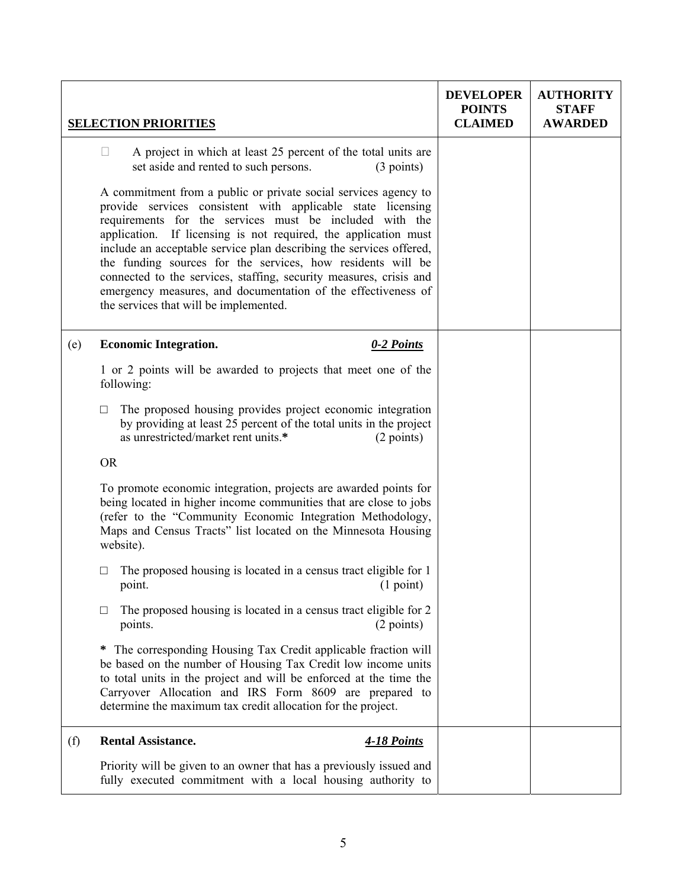|     | <b>SELECTION PRIORITIES</b>                                                                                                                                                                                                                                                                                                                                                                                                                                                                                                                                                         | <b>DEVELOPER</b><br><b>POINTS</b><br><b>CLAIMED</b> | <b>AUTHORITY</b><br><b>STAFF</b><br><b>AWARDED</b> |
|-----|-------------------------------------------------------------------------------------------------------------------------------------------------------------------------------------------------------------------------------------------------------------------------------------------------------------------------------------------------------------------------------------------------------------------------------------------------------------------------------------------------------------------------------------------------------------------------------------|-----------------------------------------------------|----------------------------------------------------|
|     | A project in which at least 25 percent of the total units are<br>$\Box$<br>set aside and rented to such persons.<br>(3 points)                                                                                                                                                                                                                                                                                                                                                                                                                                                      |                                                     |                                                    |
|     | A commitment from a public or private social services agency to<br>provide services consistent with applicable state licensing<br>requirements for the services must be included with the<br>application. If licensing is not required, the application must<br>include an acceptable service plan describing the services offered,<br>the funding sources for the services, how residents will be<br>connected to the services, staffing, security measures, crisis and<br>emergency measures, and documentation of the effectiveness of<br>the services that will be implemented. |                                                     |                                                    |
| (e) | <b>Economic Integration.</b><br>0-2 Points                                                                                                                                                                                                                                                                                                                                                                                                                                                                                                                                          |                                                     |                                                    |
|     | 1 or 2 points will be awarded to projects that meet one of the<br>following:                                                                                                                                                                                                                                                                                                                                                                                                                                                                                                        |                                                     |                                                    |
|     | The proposed housing provides project economic integration<br>$\Box$<br>by providing at least 25 percent of the total units in the project<br>as unrestricted/market rent units.*<br>(2 points)                                                                                                                                                                                                                                                                                                                                                                                     |                                                     |                                                    |
|     | <b>OR</b>                                                                                                                                                                                                                                                                                                                                                                                                                                                                                                                                                                           |                                                     |                                                    |
|     | To promote economic integration, projects are awarded points for<br>being located in higher income communities that are close to jobs<br>(refer to the "Community Economic Integration Methodology,<br>Maps and Census Tracts" list located on the Minnesota Housing<br>website).                                                                                                                                                                                                                                                                                                   |                                                     |                                                    |
|     | The proposed housing is located in a census tract eligible for 1<br>□<br>$(1 \text{ point})$<br>point.                                                                                                                                                                                                                                                                                                                                                                                                                                                                              |                                                     |                                                    |
|     | The proposed housing is located in a census tract eligible for 2<br>□<br>points.<br>(2 points)                                                                                                                                                                                                                                                                                                                                                                                                                                                                                      |                                                     |                                                    |
|     | The corresponding Housing Tax Credit applicable fraction will<br>$\ast$<br>be based on the number of Housing Tax Credit low income units<br>to total units in the project and will be enforced at the time the<br>Carryover Allocation and IRS Form 8609 are prepared to<br>determine the maximum tax credit allocation for the project.                                                                                                                                                                                                                                            |                                                     |                                                    |
| (f) | <b>Rental Assistance.</b><br><b>4-18 Points</b>                                                                                                                                                                                                                                                                                                                                                                                                                                                                                                                                     |                                                     |                                                    |
|     | Priority will be given to an owner that has a previously issued and<br>fully executed commitment with a local housing authority to                                                                                                                                                                                                                                                                                                                                                                                                                                                  |                                                     |                                                    |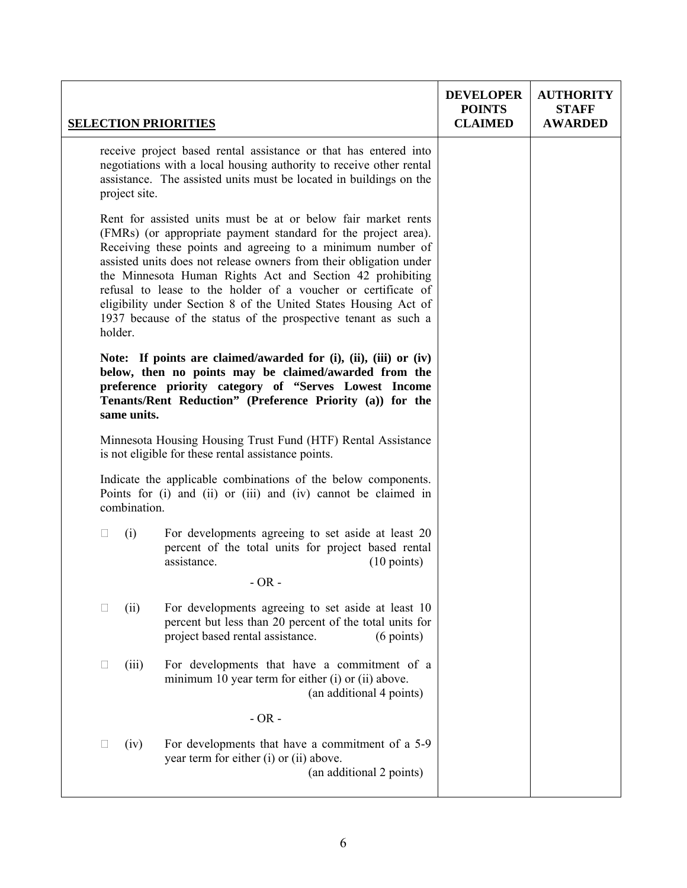|         |               | <b>SELECTION PRIORITIES</b>                                                                                                                                                                                                                                                                                                                                                                                                                                                                                                            | <b>DEVELOPER</b><br><b>POINTS</b><br><b>CLAIMED</b> | <b>AUTHORITY</b><br><b>STAFF</b><br><b>AWARDED</b> |
|---------|---------------|----------------------------------------------------------------------------------------------------------------------------------------------------------------------------------------------------------------------------------------------------------------------------------------------------------------------------------------------------------------------------------------------------------------------------------------------------------------------------------------------------------------------------------------|-----------------------------------------------------|----------------------------------------------------|
|         | project site. | receive project based rental assistance or that has entered into<br>negotiations with a local housing authority to receive other rental<br>assistance. The assisted units must be located in buildings on the                                                                                                                                                                                                                                                                                                                          |                                                     |                                                    |
| holder. |               | Rent for assisted units must be at or below fair market rents<br>(FMRs) (or appropriate payment standard for the project area).<br>Receiving these points and agreeing to a minimum number of<br>assisted units does not release owners from their obligation under<br>the Minnesota Human Rights Act and Section 42 prohibiting<br>refusal to lease to the holder of a voucher or certificate of<br>eligibility under Section 8 of the United States Housing Act of<br>1937 because of the status of the prospective tenant as such a |                                                     |                                                    |
|         | same units.   | Note: If points are claimed/awarded for $(i)$ , $(ii)$ , $(iii)$ or $(iv)$<br>below, then no points may be claimed/awarded from the<br>preference priority category of "Serves Lowest Income<br>Tenants/Rent Reduction" (Preference Priority (a)) for the                                                                                                                                                                                                                                                                              |                                                     |                                                    |
|         |               | Minnesota Housing Housing Trust Fund (HTF) Rental Assistance<br>is not eligible for these rental assistance points.                                                                                                                                                                                                                                                                                                                                                                                                                    |                                                     |                                                    |
|         | combination.  | Indicate the applicable combinations of the below components.<br>Points for (i) and (ii) or (iii) and (iv) cannot be claimed in                                                                                                                                                                                                                                                                                                                                                                                                        |                                                     |                                                    |
| $\Box$  | (i)           | For developments agreeing to set aside at least 20<br>percent of the total units for project based rental<br>assistance.<br>$(10 \text{ points})$                                                                                                                                                                                                                                                                                                                                                                                      |                                                     |                                                    |
|         |               | $-OR -$                                                                                                                                                                                                                                                                                                                                                                                                                                                                                                                                |                                                     |                                                    |
| $\Box$  | (ii)          | For developments agreeing to set aside at least 10<br>percent but less than 20 percent of the total units for<br>project based rental assistance.<br>$(6$ points)                                                                                                                                                                                                                                                                                                                                                                      |                                                     |                                                    |
| $\Box$  | (iii)         | For developments that have a commitment of a<br>minimum 10 year term for either (i) or (ii) above.<br>(an additional 4 points)                                                                                                                                                                                                                                                                                                                                                                                                         |                                                     |                                                    |
|         |               | $-OR -$                                                                                                                                                                                                                                                                                                                                                                                                                                                                                                                                |                                                     |                                                    |
| $\Box$  | (iv)          | For developments that have a commitment of a 5-9<br>year term for either (i) or (ii) above.<br>(an additional 2 points)                                                                                                                                                                                                                                                                                                                                                                                                                |                                                     |                                                    |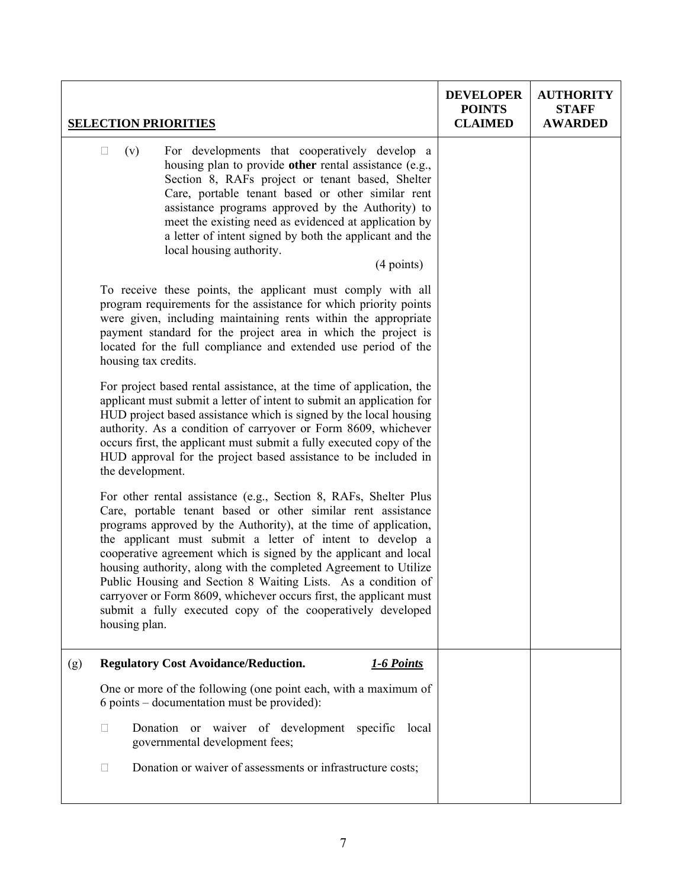|     | <b>SELECTION PRIORITIES</b>                                                                                                                                                                                                                                                                                                                                                                                                                                                                                                                                                                                                      | <b>DEVELOPER</b><br><b>POINTS</b><br><b>CLAIMED</b> | <b>AUTHORITY</b><br><b>STAFF</b><br><b>AWARDED</b> |
|-----|----------------------------------------------------------------------------------------------------------------------------------------------------------------------------------------------------------------------------------------------------------------------------------------------------------------------------------------------------------------------------------------------------------------------------------------------------------------------------------------------------------------------------------------------------------------------------------------------------------------------------------|-----------------------------------------------------|----------------------------------------------------|
|     | For developments that cooperatively develop a<br>(v)<br>$\Box$<br>housing plan to provide other rental assistance (e.g.,<br>Section 8, RAFs project or tenant based, Shelter<br>Care, portable tenant based or other similar rent<br>assistance programs approved by the Authority) to<br>meet the existing need as evidenced at application by<br>a letter of intent signed by both the applicant and the<br>local housing authority.<br>(4 points)                                                                                                                                                                             |                                                     |                                                    |
|     | To receive these points, the applicant must comply with all<br>program requirements for the assistance for which priority points<br>were given, including maintaining rents within the appropriate<br>payment standard for the project area in which the project is<br>located for the full compliance and extended use period of the<br>housing tax credits.                                                                                                                                                                                                                                                                    |                                                     |                                                    |
|     | For project based rental assistance, at the time of application, the<br>applicant must submit a letter of intent to submit an application for<br>HUD project based assistance which is signed by the local housing<br>authority. As a condition of carryover or Form 8609, whichever<br>occurs first, the applicant must submit a fully executed copy of the<br>HUD approval for the project based assistance to be included in<br>the development.                                                                                                                                                                              |                                                     |                                                    |
|     | For other rental assistance (e.g., Section 8, RAFs, Shelter Plus<br>Care, portable tenant based or other similar rent assistance<br>programs approved by the Authority), at the time of application,<br>the applicant must submit a letter of intent to develop a<br>cooperative agreement which is signed by the applicant and local<br>housing authority, along with the completed Agreement to Utilize<br>Public Housing and Section 8 Waiting Lists. As a condition of<br>carryover or Form 8609, whichever occurs first, the applicant must<br>submit a fully executed copy of the cooperatively developed<br>housing plan. |                                                     |                                                    |
| (g) | <b>Regulatory Cost Avoidance/Reduction.</b><br>1-6 Points                                                                                                                                                                                                                                                                                                                                                                                                                                                                                                                                                                        |                                                     |                                                    |
|     | One or more of the following (one point each, with a maximum of<br>6 points – documentation must be provided):                                                                                                                                                                                                                                                                                                                                                                                                                                                                                                                   |                                                     |                                                    |
|     | Donation or waiver of development specific local<br>П<br>governmental development fees;                                                                                                                                                                                                                                                                                                                                                                                                                                                                                                                                          |                                                     |                                                    |
|     | Donation or waiver of assessments or infrastructure costs;<br>u                                                                                                                                                                                                                                                                                                                                                                                                                                                                                                                                                                  |                                                     |                                                    |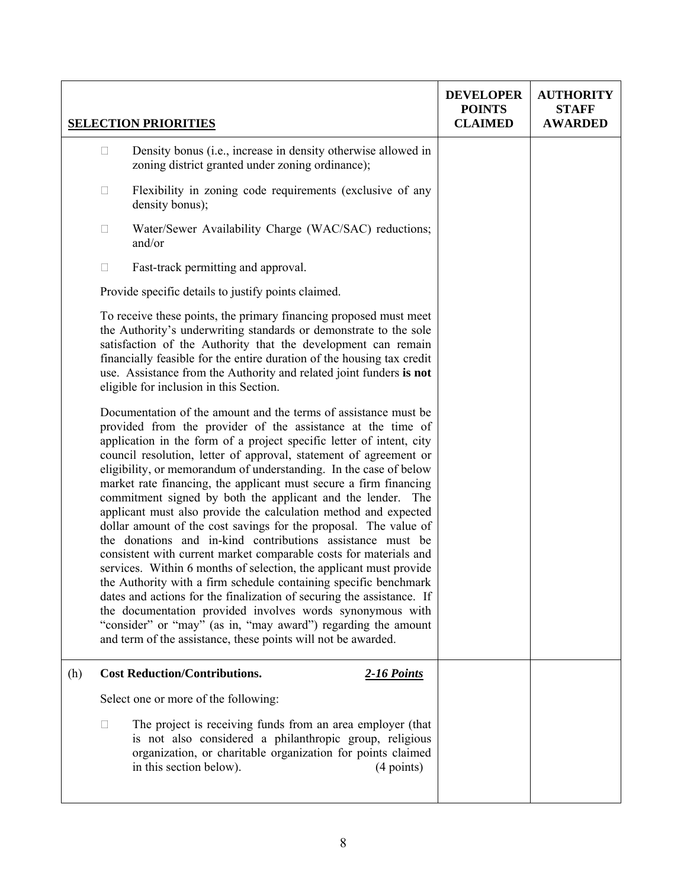|     |                                                                                                                                                                                                                                                                                                                                                                                                                                                                                                                                                                                                                                                                                                                                                                                                                                                                                                                                                                                                                                                                                                                                                                                     | <b>SELECTION PRIORITIES</b>                                                                                                                                                                                                     | <b>DEVELOPER</b><br><b>POINTS</b><br><b>CLAIMED</b> | <b>AUTHORITY</b><br><b>STAFF</b><br><b>AWARDED</b> |
|-----|-------------------------------------------------------------------------------------------------------------------------------------------------------------------------------------------------------------------------------------------------------------------------------------------------------------------------------------------------------------------------------------------------------------------------------------------------------------------------------------------------------------------------------------------------------------------------------------------------------------------------------------------------------------------------------------------------------------------------------------------------------------------------------------------------------------------------------------------------------------------------------------------------------------------------------------------------------------------------------------------------------------------------------------------------------------------------------------------------------------------------------------------------------------------------------------|---------------------------------------------------------------------------------------------------------------------------------------------------------------------------------------------------------------------------------|-----------------------------------------------------|----------------------------------------------------|
|     | $\Box$                                                                                                                                                                                                                                                                                                                                                                                                                                                                                                                                                                                                                                                                                                                                                                                                                                                                                                                                                                                                                                                                                                                                                                              | Density bonus (i.e., increase in density otherwise allowed in<br>zoning district granted under zoning ordinance);                                                                                                               |                                                     |                                                    |
|     | □                                                                                                                                                                                                                                                                                                                                                                                                                                                                                                                                                                                                                                                                                                                                                                                                                                                                                                                                                                                                                                                                                                                                                                                   | Flexibility in zoning code requirements (exclusive of any<br>density bonus);                                                                                                                                                    |                                                     |                                                    |
|     | □                                                                                                                                                                                                                                                                                                                                                                                                                                                                                                                                                                                                                                                                                                                                                                                                                                                                                                                                                                                                                                                                                                                                                                                   | Water/Sewer Availability Charge (WAC/SAC) reductions;<br>and/or                                                                                                                                                                 |                                                     |                                                    |
|     | $\Box$                                                                                                                                                                                                                                                                                                                                                                                                                                                                                                                                                                                                                                                                                                                                                                                                                                                                                                                                                                                                                                                                                                                                                                              | Fast-track permitting and approval.                                                                                                                                                                                             |                                                     |                                                    |
|     |                                                                                                                                                                                                                                                                                                                                                                                                                                                                                                                                                                                                                                                                                                                                                                                                                                                                                                                                                                                                                                                                                                                                                                                     | Provide specific details to justify points claimed.                                                                                                                                                                             |                                                     |                                                    |
|     | To receive these points, the primary financing proposed must meet<br>the Authority's underwriting standards or demonstrate to the sole<br>satisfaction of the Authority that the development can remain<br>financially feasible for the entire duration of the housing tax credit<br>use. Assistance from the Authority and related joint funders is not<br>eligible for inclusion in this Section.                                                                                                                                                                                                                                                                                                                                                                                                                                                                                                                                                                                                                                                                                                                                                                                 |                                                                                                                                                                                                                                 |                                                     |                                                    |
|     | Documentation of the amount and the terms of assistance must be<br>provided from the provider of the assistance at the time of<br>application in the form of a project specific letter of intent, city<br>council resolution, letter of approval, statement of agreement or<br>eligibility, or memorandum of understanding. In the case of below<br>market rate financing, the applicant must secure a firm financing<br>commitment signed by both the applicant and the lender.<br>The<br>applicant must also provide the calculation method and expected<br>dollar amount of the cost savings for the proposal. The value of<br>the donations and in-kind contributions assistance must be<br>consistent with current market comparable costs for materials and<br>services. Within 6 months of selection, the applicant must provide<br>the Authority with a firm schedule containing specific benchmark<br>dates and actions for the finalization of securing the assistance. If<br>the documentation provided involves words synonymous with<br>"consider" or "may" (as in, "may award") regarding the amount<br>and term of the assistance, these points will not be awarded. |                                                                                                                                                                                                                                 |                                                     |                                                    |
| (h) |                                                                                                                                                                                                                                                                                                                                                                                                                                                                                                                                                                                                                                                                                                                                                                                                                                                                                                                                                                                                                                                                                                                                                                                     | <b>Cost Reduction/Contributions.</b><br><b>2-16 Points</b>                                                                                                                                                                      |                                                     |                                                    |
|     |                                                                                                                                                                                                                                                                                                                                                                                                                                                                                                                                                                                                                                                                                                                                                                                                                                                                                                                                                                                                                                                                                                                                                                                     | Select one or more of the following:                                                                                                                                                                                            |                                                     |                                                    |
|     | $\Box$                                                                                                                                                                                                                                                                                                                                                                                                                                                                                                                                                                                                                                                                                                                                                                                                                                                                                                                                                                                                                                                                                                                                                                              | The project is receiving funds from an area employer (that<br>is not also considered a philanthropic group, religious<br>organization, or charitable organization for points claimed<br>in this section below).<br>$(4$ points) |                                                     |                                                    |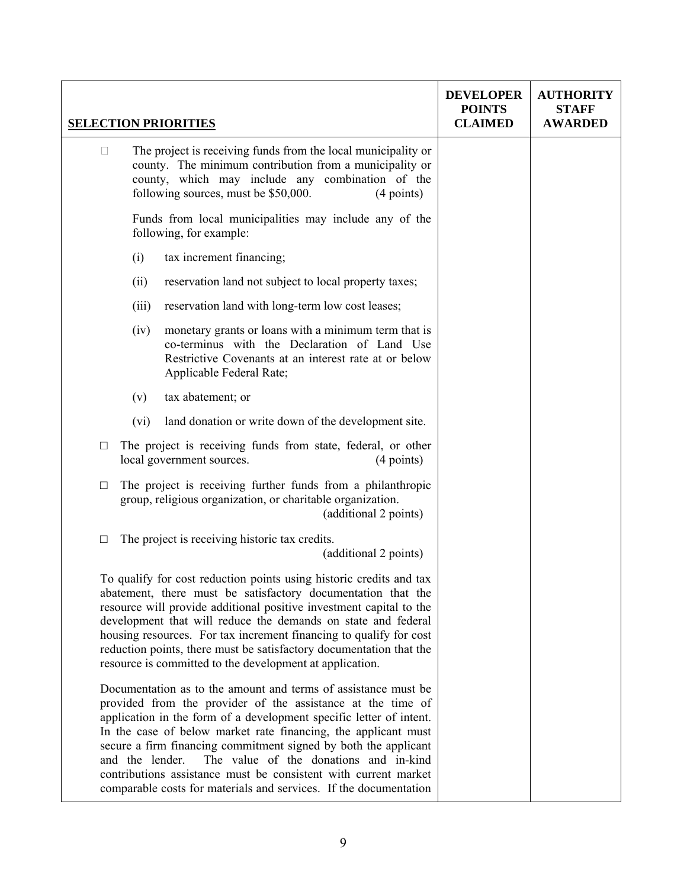|        |        |                 | <b>SELECTION PRIORITIES</b>                                                                                                                                                                                                                                                                                                                                                                                                                                                                                                 | <b>DEVELOPER</b><br><b>POINTS</b><br><b>CLAIMED</b> | <b>AUTHORITY</b><br><b>STAFF</b><br><b>AWARDED</b> |
|--------|--------|-----------------|-----------------------------------------------------------------------------------------------------------------------------------------------------------------------------------------------------------------------------------------------------------------------------------------------------------------------------------------------------------------------------------------------------------------------------------------------------------------------------------------------------------------------------|-----------------------------------------------------|----------------------------------------------------|
|        | $\Box$ |                 | The project is receiving funds from the local municipality or<br>county. The minimum contribution from a municipality or<br>county, which may include any combination of the<br>following sources, must be \$50,000.<br>$(4$ points)                                                                                                                                                                                                                                                                                        |                                                     |                                                    |
|        |        |                 | Funds from local municipalities may include any of the<br>following, for example:                                                                                                                                                                                                                                                                                                                                                                                                                                           |                                                     |                                                    |
|        |        | (i)             | tax increment financing;                                                                                                                                                                                                                                                                                                                                                                                                                                                                                                    |                                                     |                                                    |
|        |        | (ii)            | reservation land not subject to local property taxes;                                                                                                                                                                                                                                                                                                                                                                                                                                                                       |                                                     |                                                    |
|        |        | (iii)           | reservation land with long-term low cost leases;                                                                                                                                                                                                                                                                                                                                                                                                                                                                            |                                                     |                                                    |
|        |        | (iv)            | monetary grants or loans with a minimum term that is<br>co-terminus with the Declaration of Land Use<br>Restrictive Covenants at an interest rate at or below<br>Applicable Federal Rate;                                                                                                                                                                                                                                                                                                                                   |                                                     |                                                    |
|        |        | (v)             | tax abatement; or                                                                                                                                                                                                                                                                                                                                                                                                                                                                                                           |                                                     |                                                    |
|        |        | (vi)            | land donation or write down of the development site.                                                                                                                                                                                                                                                                                                                                                                                                                                                                        |                                                     |                                                    |
| $\Box$ |        |                 | The project is receiving funds from state, federal, or other<br>local government sources.<br>$(4$ points)                                                                                                                                                                                                                                                                                                                                                                                                                   |                                                     |                                                    |
| $\Box$ |        |                 | The project is receiving further funds from a philanthropic<br>group, religious organization, or charitable organization.<br>(additional 2 points)                                                                                                                                                                                                                                                                                                                                                                          |                                                     |                                                    |
| □      |        |                 | The project is receiving historic tax credits.<br>(additional 2 points)                                                                                                                                                                                                                                                                                                                                                                                                                                                     |                                                     |                                                    |
|        |        |                 | To qualify for cost reduction points using historic credits and tax<br>abatement, there must be satisfactory documentation that the<br>resource will provide additional positive investment capital to the<br>development that will reduce the demands on state and federal<br>housing resources. For tax increment financing to qualify for cost<br>reduction points, there must be satisfactory documentation that the<br>resource is committed to the development at application.                                        |                                                     |                                                    |
|        |        | and the lender. | Documentation as to the amount and terms of assistance must be<br>provided from the provider of the assistance at the time of<br>application in the form of a development specific letter of intent.<br>In the case of below market rate financing, the applicant must<br>secure a firm financing commitment signed by both the applicant<br>The value of the donations and in-kind<br>contributions assistance must be consistent with current market<br>comparable costs for materials and services. If the documentation |                                                     |                                                    |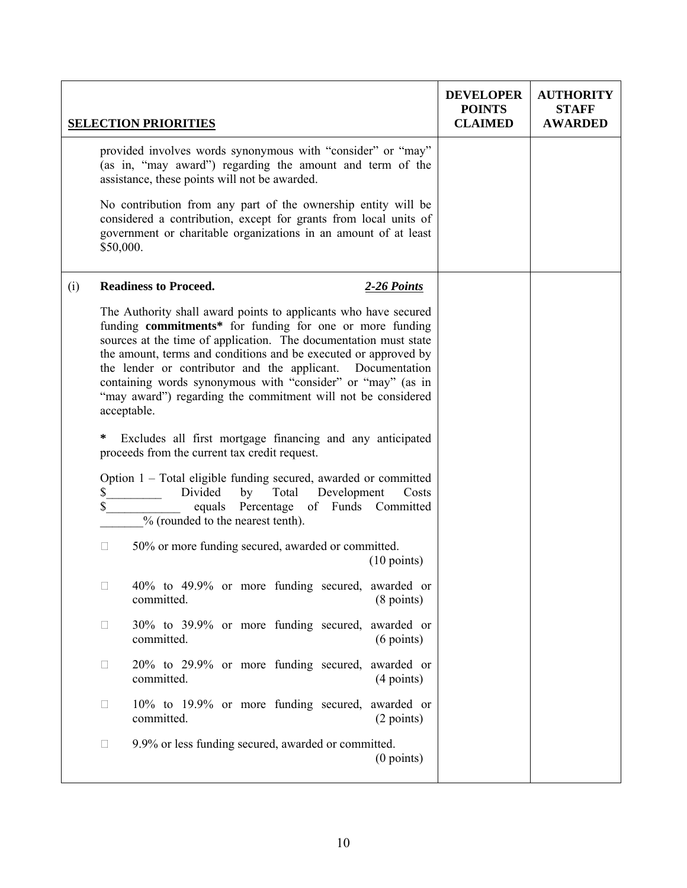|     |           | <b>SELECTION PRIORITIES</b>                                                                                                                                                                                                                                                                                                                                                                                                                                                    | <b>DEVELOPER</b><br><b>POINTS</b><br><b>CLAIMED</b> | <b>AUTHORITY</b><br><b>STAFF</b><br><b>AWARDED</b> |
|-----|-----------|--------------------------------------------------------------------------------------------------------------------------------------------------------------------------------------------------------------------------------------------------------------------------------------------------------------------------------------------------------------------------------------------------------------------------------------------------------------------------------|-----------------------------------------------------|----------------------------------------------------|
|     |           | provided involves words synonymous with "consider" or "may"<br>(as in, "may award") regarding the amount and term of the<br>assistance, these points will not be awarded.                                                                                                                                                                                                                                                                                                      |                                                     |                                                    |
|     | \$50,000. | No contribution from any part of the ownership entity will be<br>considered a contribution, except for grants from local units of<br>government or charitable organizations in an amount of at least                                                                                                                                                                                                                                                                           |                                                     |                                                    |
| (i) |           | <b>Readiness to Proceed.</b><br>2-26 Points                                                                                                                                                                                                                                                                                                                                                                                                                                    |                                                     |                                                    |
|     |           | The Authority shall award points to applicants who have secured<br>funding commitments* for funding for one or more funding<br>sources at the time of application. The documentation must state<br>the amount, terms and conditions and be executed or approved by<br>the lender or contributor and the applicant. Documentation<br>containing words synonymous with "consider" or "may" (as in<br>"may award") regarding the commitment will not be considered<br>acceptable. |                                                     |                                                    |
|     | $\ast$    | Excludes all first mortgage financing and any anticipated<br>proceeds from the current tax credit request.                                                                                                                                                                                                                                                                                                                                                                     |                                                     |                                                    |
|     | S<br>\$   | Option 1 – Total eligible funding secured, awarded or committed<br>Divided<br>Development<br>by<br>Total<br>Costs<br>equals Percentage of Funds Committed<br>% (rounded to the nearest tenth).                                                                                                                                                                                                                                                                                 |                                                     |                                                    |
|     | $\Box$    | 50% or more funding secured, awarded or committed.<br>$(10 \text{ points})$                                                                                                                                                                                                                                                                                                                                                                                                    |                                                     |                                                    |
|     | $\Box$    | 40% to 49.9% or more funding secured, awarded or<br>$(8 \text{ points})$<br>committed.                                                                                                                                                                                                                                                                                                                                                                                         |                                                     |                                                    |
|     | $\Box$    | 30% to 39.9% or more funding secured, awarded or<br>committed.<br>$(6 \text{ points})$                                                                                                                                                                                                                                                                                                                                                                                         |                                                     |                                                    |
|     | $\Box$    | 20% to 29.9% or more funding secured, awarded or<br>(4 points)<br>committed.                                                                                                                                                                                                                                                                                                                                                                                                   |                                                     |                                                    |
|     | $\Box$    | 10% to 19.9% or more funding secured, awarded or<br>(2 points)<br>committed.                                                                                                                                                                                                                                                                                                                                                                                                   |                                                     |                                                    |
|     | $\Box$    | 9.9% or less funding secured, awarded or committed.<br>$(0$ points)                                                                                                                                                                                                                                                                                                                                                                                                            |                                                     |                                                    |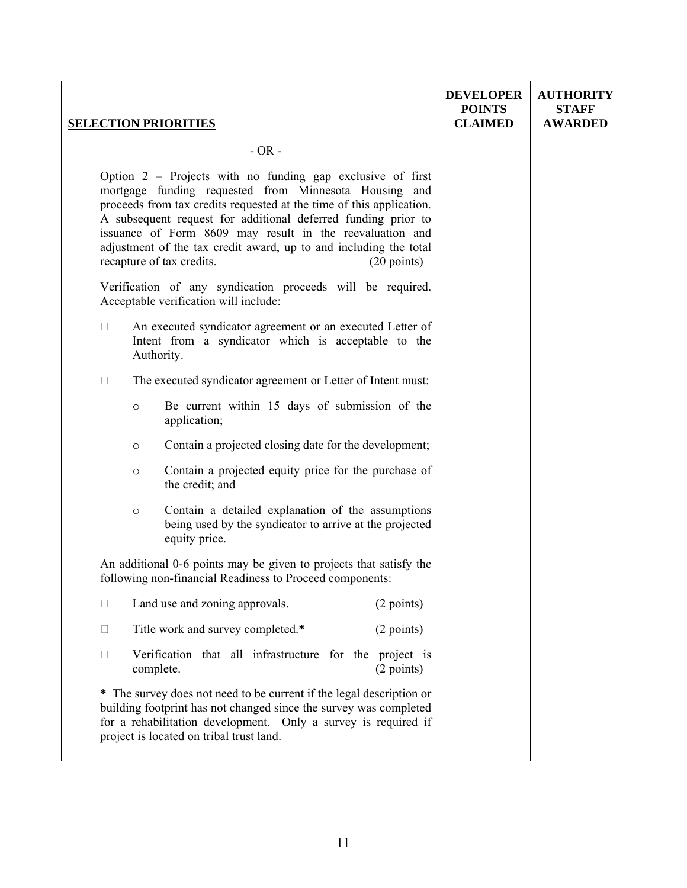|        |                                                                                                                                                                                                                                                                                                                                                                                                                                                       | <b>SELECTION PRIORITIES</b>                                                                                                                                                                                                                             | <b>DEVELOPER</b><br><b>POINTS</b><br><b>CLAIMED</b> | <b>AUTHORITY</b><br><b>STAFF</b><br><b>AWARDED</b> |
|--------|-------------------------------------------------------------------------------------------------------------------------------------------------------------------------------------------------------------------------------------------------------------------------------------------------------------------------------------------------------------------------------------------------------------------------------------------------------|---------------------------------------------------------------------------------------------------------------------------------------------------------------------------------------------------------------------------------------------------------|-----------------------------------------------------|----------------------------------------------------|
|        |                                                                                                                                                                                                                                                                                                                                                                                                                                                       | $-OR -$                                                                                                                                                                                                                                                 |                                                     |                                                    |
|        | Option $2$ – Projects with no funding gap exclusive of first<br>mortgage funding requested from Minnesota Housing and<br>proceeds from tax credits requested at the time of this application.<br>A subsequent request for additional deferred funding prior to<br>issuance of Form 8609 may result in the reevaluation and<br>adjustment of the tax credit award, up to and including the total<br>recapture of tax credits.<br>$(20 \text{ points})$ |                                                                                                                                                                                                                                                         |                                                     |                                                    |
|        |                                                                                                                                                                                                                                                                                                                                                                                                                                                       | Verification of any syndication proceeds will be required.<br>Acceptable verification will include:                                                                                                                                                     |                                                     |                                                    |
| $\Box$ |                                                                                                                                                                                                                                                                                                                                                                                                                                                       | An executed syndicator agreement or an executed Letter of<br>Intent from a syndicator which is acceptable to the<br>Authority.                                                                                                                          |                                                     |                                                    |
| $\Box$ |                                                                                                                                                                                                                                                                                                                                                                                                                                                       | The executed syndicator agreement or Letter of Intent must:                                                                                                                                                                                             |                                                     |                                                    |
|        | $\circ$                                                                                                                                                                                                                                                                                                                                                                                                                                               | Be current within 15 days of submission of the<br>application;                                                                                                                                                                                          |                                                     |                                                    |
|        | $\circ$                                                                                                                                                                                                                                                                                                                                                                                                                                               | Contain a projected closing date for the development;                                                                                                                                                                                                   |                                                     |                                                    |
|        | $\circ$                                                                                                                                                                                                                                                                                                                                                                                                                                               | Contain a projected equity price for the purchase of<br>the credit; and                                                                                                                                                                                 |                                                     |                                                    |
|        | $\circ$                                                                                                                                                                                                                                                                                                                                                                                                                                               | Contain a detailed explanation of the assumptions<br>being used by the syndicator to arrive at the projected<br>equity price.                                                                                                                           |                                                     |                                                    |
|        |                                                                                                                                                                                                                                                                                                                                                                                                                                                       | An additional 0-6 points may be given to projects that satisfy the<br>following non-financial Readiness to Proceed components:                                                                                                                          |                                                     |                                                    |
| П      |                                                                                                                                                                                                                                                                                                                                                                                                                                                       | Land use and zoning approvals.<br>(2 points)                                                                                                                                                                                                            |                                                     |                                                    |
| $\Box$ |                                                                                                                                                                                                                                                                                                                                                                                                                                                       | Title work and survey completed.*<br>(2 points)                                                                                                                                                                                                         |                                                     |                                                    |
| $\Box$ |                                                                                                                                                                                                                                                                                                                                                                                                                                                       | Verification that all infrastructure for the project is<br>(2 points)<br>complete.                                                                                                                                                                      |                                                     |                                                    |
|        |                                                                                                                                                                                                                                                                                                                                                                                                                                                       | * The survey does not need to be current if the legal description or<br>building footprint has not changed since the survey was completed<br>for a rehabilitation development. Only a survey is required if<br>project is located on tribal trust land. |                                                     |                                                    |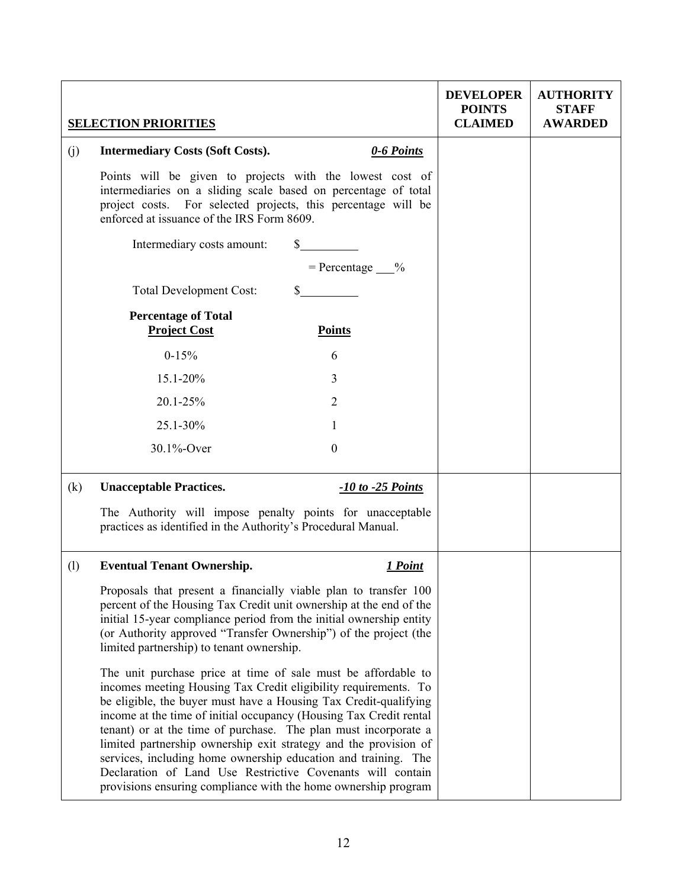|     | <b>SELECTION PRIORITIES</b>                                                                                                                                                                                                                                                                                                                                                                                                                                                                                                                                                                                         |                         | <b>DEVELOPER</b><br><b>POINTS</b><br><b>CLAIMED</b> | <b>AUTHORITY</b><br><b>STAFF</b><br><b>AWARDED</b> |
|-----|---------------------------------------------------------------------------------------------------------------------------------------------------------------------------------------------------------------------------------------------------------------------------------------------------------------------------------------------------------------------------------------------------------------------------------------------------------------------------------------------------------------------------------------------------------------------------------------------------------------------|-------------------------|-----------------------------------------------------|----------------------------------------------------|
| (j) | <b>Intermediary Costs (Soft Costs).</b>                                                                                                                                                                                                                                                                                                                                                                                                                                                                                                                                                                             | 0-6 Points              |                                                     |                                                    |
|     | Points will be given to projects with the lowest cost of<br>intermediaries on a sliding scale based on percentage of total<br>project costs. For selected projects, this percentage will be<br>enforced at issuance of the IRS Form 8609.                                                                                                                                                                                                                                                                                                                                                                           |                         |                                                     |                                                    |
|     | Intermediary costs amount:                                                                                                                                                                                                                                                                                                                                                                                                                                                                                                                                                                                          | $\mathbb{S}$            |                                                     |                                                    |
|     |                                                                                                                                                                                                                                                                                                                                                                                                                                                                                                                                                                                                                     | $=$ Percentage $\_\_\%$ |                                                     |                                                    |
|     | <b>Total Development Cost:</b>                                                                                                                                                                                                                                                                                                                                                                                                                                                                                                                                                                                      | $\mathbb{S}$            |                                                     |                                                    |
|     | <b>Percentage of Total</b><br><b>Project Cost</b>                                                                                                                                                                                                                                                                                                                                                                                                                                                                                                                                                                   | <b>Points</b>           |                                                     |                                                    |
|     | $0-15%$                                                                                                                                                                                                                                                                                                                                                                                                                                                                                                                                                                                                             | 6                       |                                                     |                                                    |
|     | 15.1-20%                                                                                                                                                                                                                                                                                                                                                                                                                                                                                                                                                                                                            | 3                       |                                                     |                                                    |
|     | 20.1-25%                                                                                                                                                                                                                                                                                                                                                                                                                                                                                                                                                                                                            | 2                       |                                                     |                                                    |
|     | 25.1-30%                                                                                                                                                                                                                                                                                                                                                                                                                                                                                                                                                                                                            | 1                       |                                                     |                                                    |
|     | 30.1%-Over                                                                                                                                                                                                                                                                                                                                                                                                                                                                                                                                                                                                          | $\boldsymbol{0}$        |                                                     |                                                    |
| (k) | <b>Unacceptable Practices.</b>                                                                                                                                                                                                                                                                                                                                                                                                                                                                                                                                                                                      | $-10$ to $-25$ Points   |                                                     |                                                    |
|     | The Authority will impose penalty points for unacceptable<br>practices as identified in the Authority's Procedural Manual.                                                                                                                                                                                                                                                                                                                                                                                                                                                                                          |                         |                                                     |                                                    |
| (1) | <b>Eventual Tenant Ownership.</b>                                                                                                                                                                                                                                                                                                                                                                                                                                                                                                                                                                                   | <u>1 Point</u>          |                                                     |                                                    |
|     | Proposals that present a financially viable plan to transfer 100<br>percent of the Housing Tax Credit unit ownership at the end of the<br>initial 15-year compliance period from the initial ownership entity<br>(or Authority approved "Transfer Ownership") of the project (the<br>limited partnership) to tenant ownership.                                                                                                                                                                                                                                                                                      |                         |                                                     |                                                    |
|     | The unit purchase price at time of sale must be affordable to<br>incomes meeting Housing Tax Credit eligibility requirements. To<br>be eligible, the buyer must have a Housing Tax Credit-qualifying<br>income at the time of initial occupancy (Housing Tax Credit rental<br>tenant) or at the time of purchase. The plan must incorporate a<br>limited partnership ownership exit strategy and the provision of<br>services, including home ownership education and training. The<br>Declaration of Land Use Restrictive Covenants will contain<br>provisions ensuring compliance with the home ownership program |                         |                                                     |                                                    |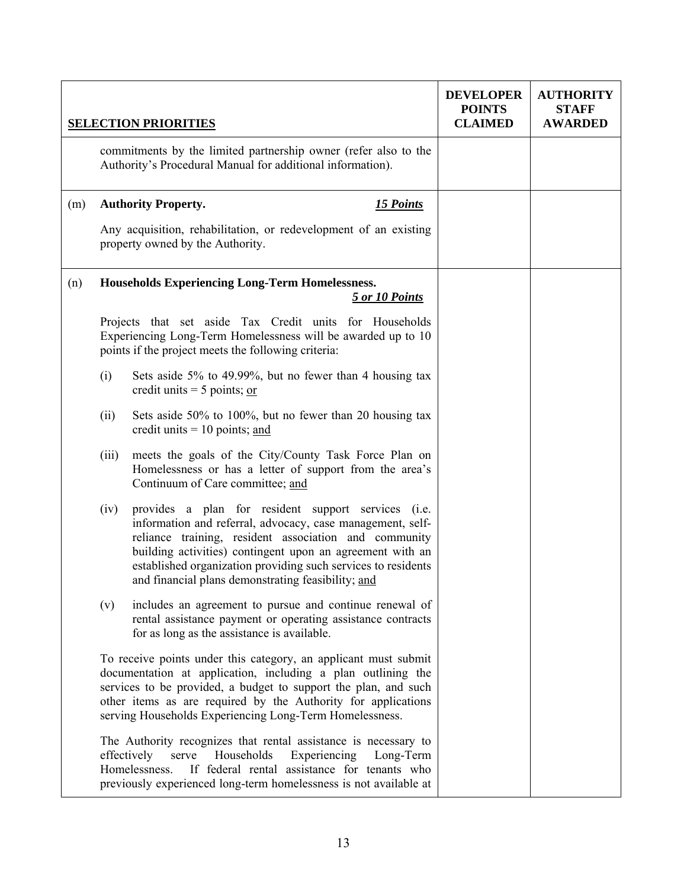|     |       | <b>SELECTION PRIORITIES</b>                                                                                                                                                                                                                                                                                                                                    | <b>DEVELOPER</b><br><b>POINTS</b><br><b>CLAIMED</b> | <b>AUTHORITY</b><br><b>STAFF</b><br><b>AWARDED</b> |
|-----|-------|----------------------------------------------------------------------------------------------------------------------------------------------------------------------------------------------------------------------------------------------------------------------------------------------------------------------------------------------------------------|-----------------------------------------------------|----------------------------------------------------|
|     |       | commitments by the limited partnership owner (refer also to the<br>Authority's Procedural Manual for additional information).                                                                                                                                                                                                                                  |                                                     |                                                    |
| (m) |       | <b>Authority Property.</b><br><b>15 Points</b>                                                                                                                                                                                                                                                                                                                 |                                                     |                                                    |
|     |       | Any acquisition, rehabilitation, or redevelopment of an existing<br>property owned by the Authority.                                                                                                                                                                                                                                                           |                                                     |                                                    |
| (n) |       | <b>Households Experiencing Long-Term Homelessness.</b><br>5 or 10 Points                                                                                                                                                                                                                                                                                       |                                                     |                                                    |
|     |       | Projects that set aside Tax Credit units for Households<br>Experiencing Long-Term Homelessness will be awarded up to 10<br>points if the project meets the following criteria:                                                                                                                                                                                 |                                                     |                                                    |
|     | (i)   | Sets aside 5% to 49.99%, but no fewer than 4 housing tax<br>credit units $=$ 5 points; or                                                                                                                                                                                                                                                                      |                                                     |                                                    |
|     | (ii)  | Sets aside 50% to 100%, but no fewer than 20 housing tax<br>credit units $= 10$ points; and                                                                                                                                                                                                                                                                    |                                                     |                                                    |
|     | (iii) | meets the goals of the City/County Task Force Plan on<br>Homelessness or has a letter of support from the area's<br>Continuum of Care committee; and                                                                                                                                                                                                           |                                                     |                                                    |
|     | (iv)  | provides a plan for resident support services (i.e.<br>information and referral, advocacy, case management, self-<br>reliance training, resident association and community<br>building activities) contingent upon an agreement with an<br>established organization providing such services to residents<br>and financial plans demonstrating feasibility; and |                                                     |                                                    |
|     | (v)   | includes an agreement to pursue and continue renewal of<br>rental assistance payment or operating assistance contracts<br>for as long as the assistance is available.                                                                                                                                                                                          |                                                     |                                                    |
|     |       | To receive points under this category, an applicant must submit<br>documentation at application, including a plan outlining the<br>services to be provided, a budget to support the plan, and such<br>other items as are required by the Authority for applications<br>serving Households Experiencing Long-Term Homelessness.                                 |                                                     |                                                    |
|     |       | The Authority recognizes that rental assistance is necessary to<br>serve<br>effectively<br>Households<br>Experiencing<br>Long-Term<br>Homelessness.<br>If federal rental assistance for tenants who<br>previously experienced long-term homelessness is not available at                                                                                       |                                                     |                                                    |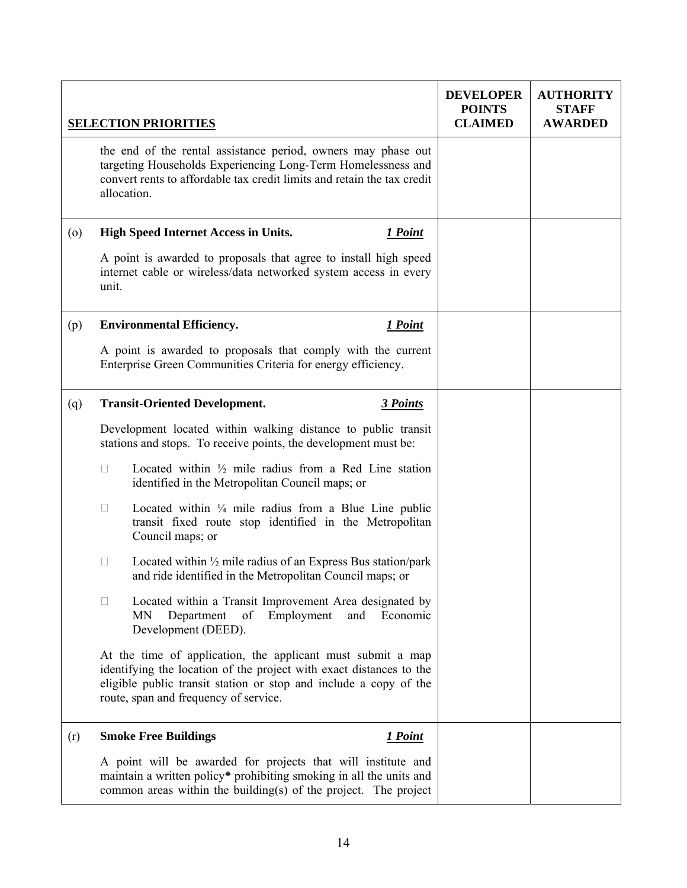|                    | <b>SELECTION PRIORITIES</b>                                                                                                                                                                                                                      | <b>DEVELOPER</b><br><b>POINTS</b><br><b>CLAIMED</b> | <b>AUTHORITY</b><br><b>STAFF</b><br><b>AWARDED</b> |
|--------------------|--------------------------------------------------------------------------------------------------------------------------------------------------------------------------------------------------------------------------------------------------|-----------------------------------------------------|----------------------------------------------------|
|                    | the end of the rental assistance period, owners may phase out<br>targeting Households Experiencing Long-Term Homelessness and<br>convert rents to affordable tax credit limits and retain the tax credit<br>allocation.                          |                                                     |                                                    |
| $\left( 0 \right)$ | <b>High Speed Internet Access in Units.</b><br>1 Point                                                                                                                                                                                           |                                                     |                                                    |
|                    | A point is awarded to proposals that agree to install high speed<br>internet cable or wireless/data networked system access in every<br>unit.                                                                                                    |                                                     |                                                    |
| (p)                | <b>Environmental Efficiency.</b><br>1 Point                                                                                                                                                                                                      |                                                     |                                                    |
|                    | A point is awarded to proposals that comply with the current<br>Enterprise Green Communities Criteria for energy efficiency.                                                                                                                     |                                                     |                                                    |
| (q)                | <b>Transit-Oriented Development.</b><br>3 Points                                                                                                                                                                                                 |                                                     |                                                    |
|                    | Development located within walking distance to public transit<br>stations and stops. To receive points, the development must be:                                                                                                                 |                                                     |                                                    |
|                    | Located within $\frac{1}{2}$ mile radius from a Red Line station<br>□<br>identified in the Metropolitan Council maps; or                                                                                                                         |                                                     |                                                    |
|                    | Located within $\frac{1}{4}$ mile radius from a Blue Line public<br>□<br>transit fixed route stop identified in the Metropolitan<br>Council maps; or                                                                                             |                                                     |                                                    |
|                    | Located within $\frac{1}{2}$ mile radius of an Express Bus station/park<br>Ш<br>and ride identified in the Metropolitan Council maps; or                                                                                                         |                                                     |                                                    |
|                    | Located within a Transit Improvement Area designated by<br>$\Box$<br>Department<br>Employment<br>and Economic<br>of<br>MN<br>Development (DEED).                                                                                                 |                                                     |                                                    |
|                    | At the time of application, the applicant must submit a map<br>identifying the location of the project with exact distances to the<br>eligible public transit station or stop and include a copy of the<br>route, span and frequency of service. |                                                     |                                                    |
| (r)                | <b>Smoke Free Buildings</b><br>1 Point                                                                                                                                                                                                           |                                                     |                                                    |
|                    | A point will be awarded for projects that will institute and<br>maintain a written policy* prohibiting smoking in all the units and<br>common areas within the building(s) of the project. The project                                           |                                                     |                                                    |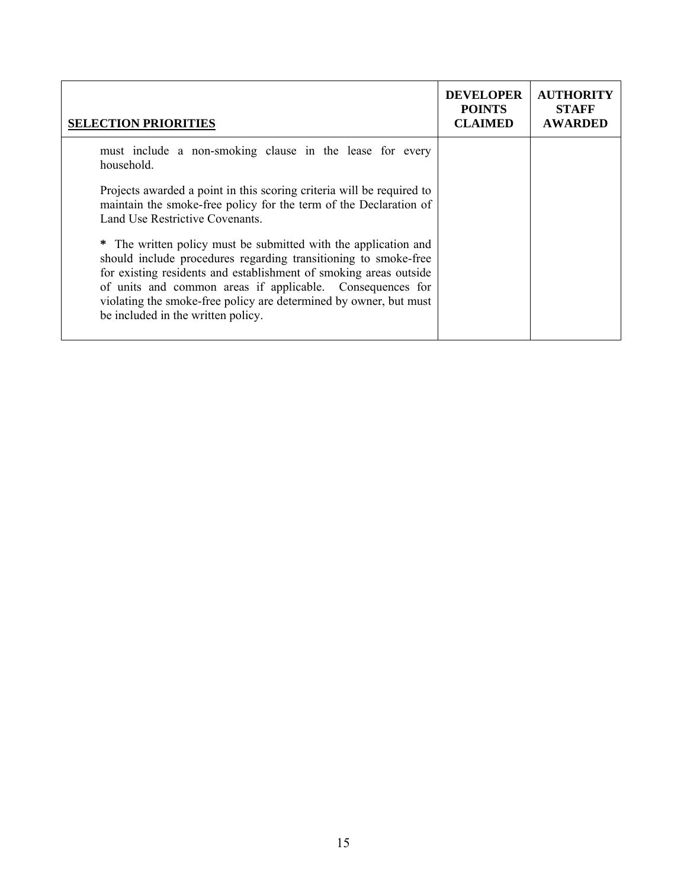| <b>SELECTION PRIORITIES</b>                                                                                                                                                                                                                                                                                                                                                     | <b>DEVELOPER</b><br><b>POINTS</b><br><b>CLAIMED</b> | <b>AUTHORITY</b><br><b>STAFF</b><br><b>AWARDED</b> |
|---------------------------------------------------------------------------------------------------------------------------------------------------------------------------------------------------------------------------------------------------------------------------------------------------------------------------------------------------------------------------------|-----------------------------------------------------|----------------------------------------------------|
| must include a non-smoking clause in the lease for every<br>household.                                                                                                                                                                                                                                                                                                          |                                                     |                                                    |
| Projects awarded a point in this scoring criteria will be required to<br>maintain the smoke-free policy for the term of the Declaration of<br>Land Use Restrictive Covenants.                                                                                                                                                                                                   |                                                     |                                                    |
| * The written policy must be submitted with the application and<br>should include procedures regarding transitioning to smoke-free<br>for existing residents and establishment of smoking areas outside<br>of units and common areas if applicable. Consequences for<br>violating the smoke-free policy are determined by owner, but must<br>be included in the written policy. |                                                     |                                                    |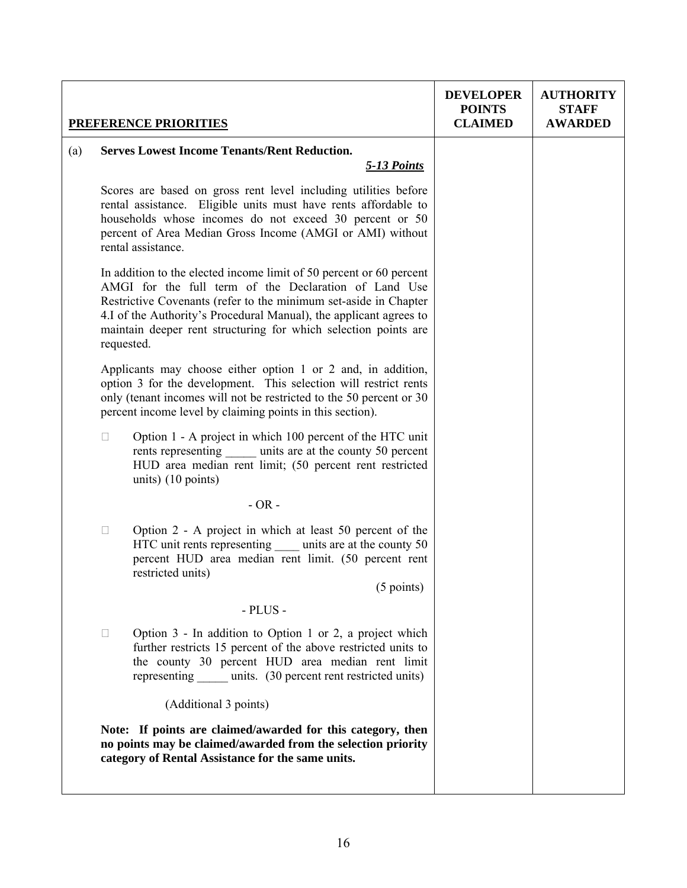|     |                                                                                                                                                                                                                                                                                                                                                         | <b>PREFERENCE PRIORITIES</b>                                                                                                                                                                                                                                                     | <b>DEVELOPER</b><br><b>POINTS</b><br><b>CLAIMED</b> | <b>AUTHORITY</b><br><b>STAFF</b><br><b>AWARDED</b> |
|-----|---------------------------------------------------------------------------------------------------------------------------------------------------------------------------------------------------------------------------------------------------------------------------------------------------------------------------------------------------------|----------------------------------------------------------------------------------------------------------------------------------------------------------------------------------------------------------------------------------------------------------------------------------|-----------------------------------------------------|----------------------------------------------------|
| (a) |                                                                                                                                                                                                                                                                                                                                                         | <b>Serves Lowest Income Tenants/Rent Reduction.</b><br>5-13 Points                                                                                                                                                                                                               |                                                     |                                                    |
|     |                                                                                                                                                                                                                                                                                                                                                         | Scores are based on gross rent level including utilities before<br>rental assistance. Eligible units must have rents affordable to<br>households whose incomes do not exceed 30 percent or 50<br>percent of Area Median Gross Income (AMGI or AMI) without<br>rental assistance. |                                                     |                                                    |
|     | In addition to the elected income limit of 50 percent or 60 percent<br>AMGI for the full term of the Declaration of Land Use<br>Restrictive Covenants (refer to the minimum set-aside in Chapter<br>4.I of the Authority's Procedural Manual), the applicant agrees to<br>maintain deeper rent structuring for which selection points are<br>requested. |                                                                                                                                                                                                                                                                                  |                                                     |                                                    |
|     |                                                                                                                                                                                                                                                                                                                                                         | Applicants may choose either option 1 or 2 and, in addition,<br>option 3 for the development. This selection will restrict rents<br>only (tenant incomes will not be restricted to the 50 percent or 30<br>percent income level by claiming points in this section).             |                                                     |                                                    |
|     | $\Box$                                                                                                                                                                                                                                                                                                                                                  | Option 1 - A project in which 100 percent of the HTC unit<br>rents representing units are at the county 50 percent<br>HUD area median rent limit; (50 percent rent restricted<br>units) $(10 \text{ points})$                                                                    |                                                     |                                                    |
|     |                                                                                                                                                                                                                                                                                                                                                         | $-OR -$                                                                                                                                                                                                                                                                          |                                                     |                                                    |
|     | $\Box$                                                                                                                                                                                                                                                                                                                                                  | Option 2 - A project in which at least 50 percent of the<br>HTC unit rents representing units are at the county 50<br>percent HUD area median rent limit. (50 percent rent<br>restricted units)<br>$(5 \text{ points})$                                                          |                                                     |                                                    |
|     |                                                                                                                                                                                                                                                                                                                                                         | $-$ PLUS $-$                                                                                                                                                                                                                                                                     |                                                     |                                                    |
|     | $\Box$                                                                                                                                                                                                                                                                                                                                                  | Option $3$ - In addition to Option 1 or 2, a project which<br>further restricts 15 percent of the above restricted units to<br>the county 30 percent HUD area median rent limit<br>representing units. (30 percent rent restricted units)                                        |                                                     |                                                    |
|     |                                                                                                                                                                                                                                                                                                                                                         | (Additional 3 points)                                                                                                                                                                                                                                                            |                                                     |                                                    |
|     |                                                                                                                                                                                                                                                                                                                                                         | Note: If points are claimed/awarded for this category, then<br>no points may be claimed/awarded from the selection priority<br>category of Rental Assistance for the same units.                                                                                                 |                                                     |                                                    |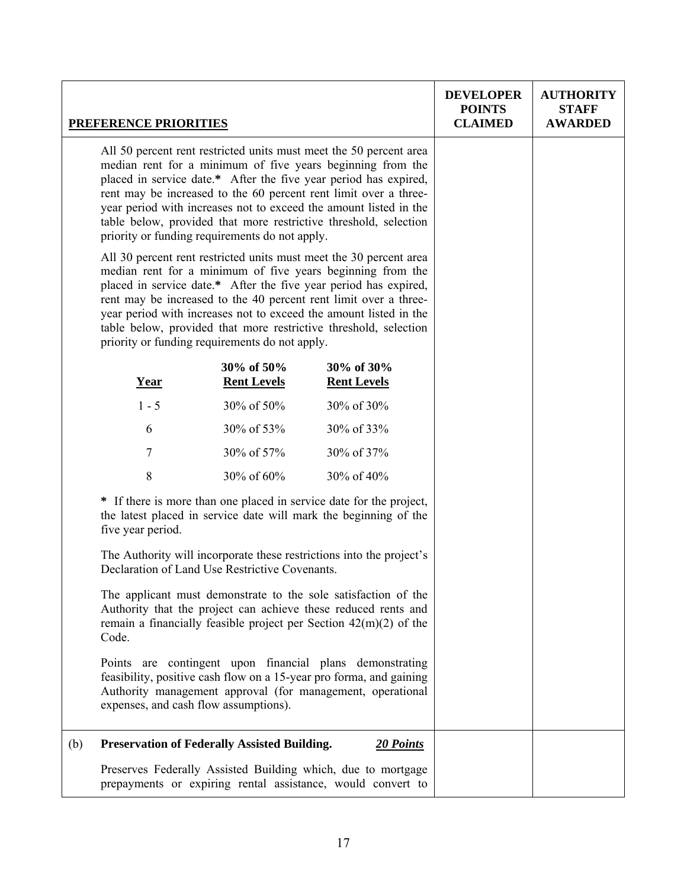|     | <b>PREFERENCE PRIORITIES</b>                                                                                                                                                                                                                                                                                                                                                                                                                                                                                                                                                         |                                  |                                                                                                                             | <b>DEVELOPER</b><br><b>POINTS</b><br><b>CLAIMED</b> | <b>AUTHORITY</b><br><b>STAFF</b><br><b>AWARDED</b> |
|-----|--------------------------------------------------------------------------------------------------------------------------------------------------------------------------------------------------------------------------------------------------------------------------------------------------------------------------------------------------------------------------------------------------------------------------------------------------------------------------------------------------------------------------------------------------------------------------------------|----------------------------------|-----------------------------------------------------------------------------------------------------------------------------|-----------------------------------------------------|----------------------------------------------------|
|     | All 50 percent rent restricted units must meet the 50 percent area<br>median rent for a minimum of five years beginning from the<br>placed in service date.* After the five year period has expired,<br>rent may be increased to the 60 percent rent limit over a three-<br>year period with increases not to exceed the amount listed in the<br>table below, provided that more restrictive threshold, selection<br>priority or funding requirements do not apply.                                                                                                                  |                                  |                                                                                                                             |                                                     |                                                    |
|     | All 30 percent rent restricted units must meet the 30 percent area<br>median rent for a minimum of five years beginning from the<br>placed in service date.* After the five year period has expired,<br>rent may be increased to the 40 percent rent limit over a three-<br>year period with increases not to exceed the amount listed in the<br>table below, provided that more restrictive threshold, selection<br>priority or funding requirements do not apply.                                                                                                                  |                                  |                                                                                                                             |                                                     |                                                    |
|     | <b>Year</b>                                                                                                                                                                                                                                                                                                                                                                                                                                                                                                                                                                          | 30% of 50%<br><b>Rent Levels</b> | 30% of 30%<br><b>Rent Levels</b>                                                                                            |                                                     |                                                    |
|     | $1 - 5$                                                                                                                                                                                                                                                                                                                                                                                                                                                                                                                                                                              | 30% of 50%                       | 30% of 30%                                                                                                                  |                                                     |                                                    |
|     | 6                                                                                                                                                                                                                                                                                                                                                                                                                                                                                                                                                                                    | 30% of 53%                       | 30% of 33%                                                                                                                  |                                                     |                                                    |
|     | 7                                                                                                                                                                                                                                                                                                                                                                                                                                                                                                                                                                                    | 30% of 57%                       | 30% of 37%                                                                                                                  |                                                     |                                                    |
|     | 8                                                                                                                                                                                                                                                                                                                                                                                                                                                                                                                                                                                    | 30% of 60%                       | 30% of 40%                                                                                                                  |                                                     |                                                    |
|     | * If there is more than one placed in service date for the project,<br>the latest placed in service date will mark the beginning of the<br>five year period.                                                                                                                                                                                                                                                                                                                                                                                                                         |                                  |                                                                                                                             |                                                     |                                                    |
|     | The Authority will incorporate these restrictions into the project's<br>Declaration of Land Use Restrictive Covenants.<br>The applicant must demonstrate to the sole satisfaction of the<br>Authority that the project can achieve these reduced rents and<br>remain a financially feasible project per Section $42(m)(2)$ of the<br>Code.<br>Points are contingent upon financial plans demonstrating<br>feasibility, positive cash flow on a 15-year pro forma, and gaining<br>Authority management approval (for management, operational<br>expenses, and cash flow assumptions). |                                  |                                                                                                                             |                                                     |                                                    |
|     |                                                                                                                                                                                                                                                                                                                                                                                                                                                                                                                                                                                      |                                  |                                                                                                                             |                                                     |                                                    |
|     |                                                                                                                                                                                                                                                                                                                                                                                                                                                                                                                                                                                      |                                  |                                                                                                                             |                                                     |                                                    |
| (b) | <b>Preservation of Federally Assisted Building.</b>                                                                                                                                                                                                                                                                                                                                                                                                                                                                                                                                  |                                  | 20 Points                                                                                                                   |                                                     |                                                    |
|     |                                                                                                                                                                                                                                                                                                                                                                                                                                                                                                                                                                                      |                                  | Preserves Federally Assisted Building which, due to mortgage<br>prepayments or expiring rental assistance, would convert to |                                                     |                                                    |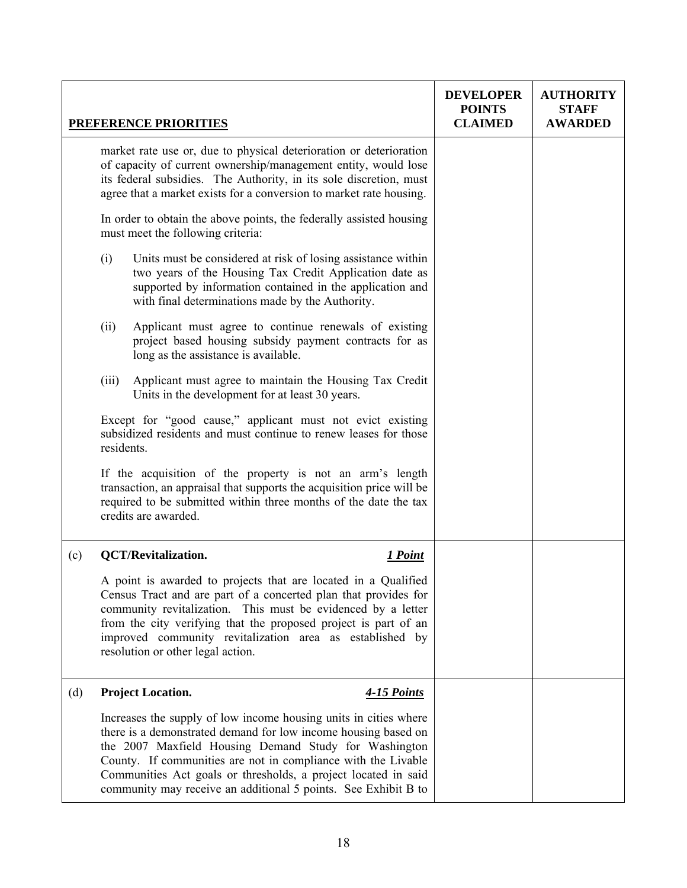|     |                                                                                                                                                                                                                                                                                   | <b>PREFERENCE PRIORITIES</b>                                                                                                                                                                                                                                                                                                                                                                     | <b>DEVELOPER</b><br><b>POINTS</b><br><b>CLAIMED</b> | <b>AUTHORITY</b><br><b>STAFF</b><br><b>AWARDED</b> |
|-----|-----------------------------------------------------------------------------------------------------------------------------------------------------------------------------------------------------------------------------------------------------------------------------------|--------------------------------------------------------------------------------------------------------------------------------------------------------------------------------------------------------------------------------------------------------------------------------------------------------------------------------------------------------------------------------------------------|-----------------------------------------------------|----------------------------------------------------|
|     | market rate use or, due to physical deterioration or deterioration<br>of capacity of current ownership/management entity, would lose<br>its federal subsidies. The Authority, in its sole discretion, must<br>agree that a market exists for a conversion to market rate housing. |                                                                                                                                                                                                                                                                                                                                                                                                  |                                                     |                                                    |
|     | In order to obtain the above points, the federally assisted housing<br>must meet the following criteria:                                                                                                                                                                          |                                                                                                                                                                                                                                                                                                                                                                                                  |                                                     |                                                    |
|     | (i)                                                                                                                                                                                                                                                                               | Units must be considered at risk of losing assistance within<br>two years of the Housing Tax Credit Application date as<br>supported by information contained in the application and<br>with final determinations made by the Authority.                                                                                                                                                         |                                                     |                                                    |
|     | (ii)                                                                                                                                                                                                                                                                              | Applicant must agree to continue renewals of existing<br>project based housing subsidy payment contracts for as<br>long as the assistance is available.                                                                                                                                                                                                                                          |                                                     |                                                    |
|     | (iii)                                                                                                                                                                                                                                                                             | Applicant must agree to maintain the Housing Tax Credit<br>Units in the development for at least 30 years.                                                                                                                                                                                                                                                                                       |                                                     |                                                    |
|     | residents.                                                                                                                                                                                                                                                                        | Except for "good cause," applicant must not evict existing<br>subsidized residents and must continue to renew leases for those                                                                                                                                                                                                                                                                   |                                                     |                                                    |
|     |                                                                                                                                                                                                                                                                                   | If the acquisition of the property is not an arm's length<br>transaction, an appraisal that supports the acquisition price will be<br>required to be submitted within three months of the date the tax<br>credits are awarded.                                                                                                                                                                   |                                                     |                                                    |
| (c) |                                                                                                                                                                                                                                                                                   | <b>QCT/Revitalization.</b><br>1 Point                                                                                                                                                                                                                                                                                                                                                            |                                                     |                                                    |
|     |                                                                                                                                                                                                                                                                                   | A point is awarded to projects that are located in a Qualified<br>Census Tract and are part of a concerted plan that provides for<br>community revitalization. This must be evidenced by a letter<br>from the city verifying that the proposed project is part of an<br>improved community revitalization area as established by<br>resolution or other legal action.                            |                                                     |                                                    |
| (d) |                                                                                                                                                                                                                                                                                   | <b>Project Location.</b><br>4-15 Points                                                                                                                                                                                                                                                                                                                                                          |                                                     |                                                    |
|     |                                                                                                                                                                                                                                                                                   | Increases the supply of low income housing units in cities where<br>there is a demonstrated demand for low income housing based on<br>the 2007 Maxfield Housing Demand Study for Washington<br>County. If communities are not in compliance with the Livable<br>Communities Act goals or thresholds, a project located in said<br>community may receive an additional 5 points. See Exhibit B to |                                                     |                                                    |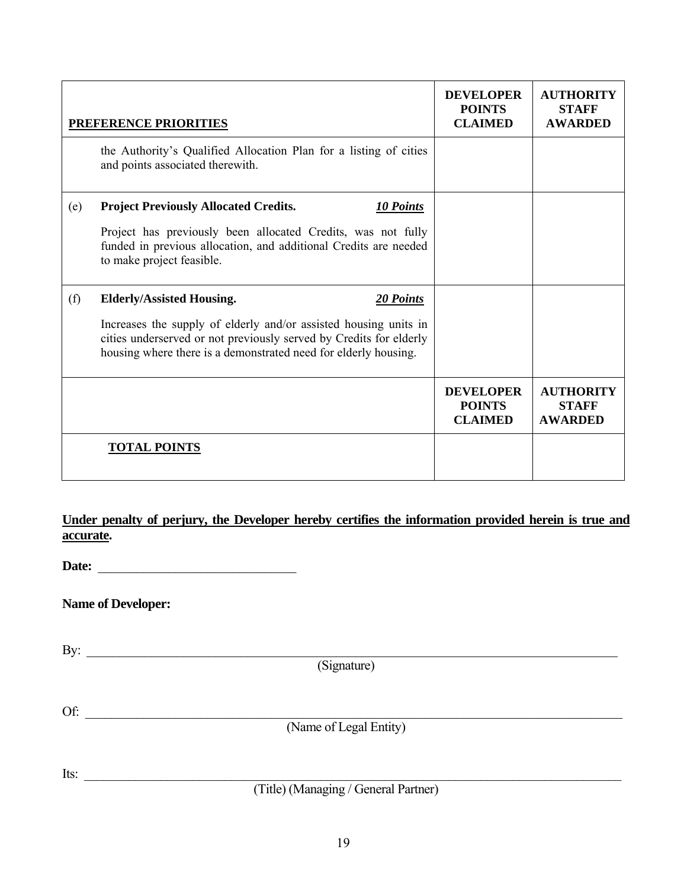| PREFERENCE PRIORITIES |                                                                                                                                                                                                                                                            | <b>DEVELOPER</b><br><b>POINTS</b><br><b>CLAIMED</b> | <b>AUTHORITY</b><br><b>STAFF</b><br><b>AWARDED</b> |
|-----------------------|------------------------------------------------------------------------------------------------------------------------------------------------------------------------------------------------------------------------------------------------------------|-----------------------------------------------------|----------------------------------------------------|
|                       | the Authority's Qualified Allocation Plan for a listing of cities<br>and points associated therewith.                                                                                                                                                      |                                                     |                                                    |
| (e)                   | <b>Project Previously Allocated Credits.</b><br>10 Points<br>Project has previously been allocated Credits, was not fully<br>funded in previous allocation, and additional Credits are needed<br>to make project feasible.                                 |                                                     |                                                    |
| (f)                   | <b>Elderly/Assisted Housing.</b><br>20 Points<br>Increases the supply of elderly and/or assisted housing units in<br>cities underserved or not previously served by Credits for elderly<br>housing where there is a demonstrated need for elderly housing. |                                                     |                                                    |
|                       |                                                                                                                                                                                                                                                            | <b>DEVELOPER</b><br><b>POINTS</b><br><b>CLAIMED</b> | <b>AUTHORITY</b><br><b>STAFF</b><br><b>AWARDED</b> |
|                       | <b>TOTAL POINTS</b>                                                                                                                                                                                                                                        |                                                     |                                                    |

**Under penalty of perjury, the Developer hereby certifies the information provided herein is true and accurate.** 

**Date:** \_\_\_\_\_\_\_\_\_\_\_\_\_\_\_\_\_\_\_\_\_\_\_\_\_\_\_\_\_\_\_

**Name of Developer:**

By: \_\_\_\_\_\_\_\_\_\_\_\_\_\_\_\_\_\_\_\_\_\_\_\_\_\_\_\_\_\_\_\_\_\_\_\_\_\_\_\_\_\_\_\_\_\_\_\_\_\_\_\_\_\_\_\_\_\_\_\_\_\_\_\_\_\_\_\_\_\_\_\_\_\_\_\_\_\_\_\_\_\_\_ (Signature)  $\mathrm{Of:}$   $\Box$ 

Its: \_\_\_\_\_\_\_\_\_\_\_\_\_\_\_\_\_\_\_\_\_\_\_\_\_\_\_\_\_\_\_\_\_\_\_\_\_\_\_\_\_\_\_\_\_\_\_\_\_\_\_\_\_\_\_\_\_\_\_\_\_\_\_\_\_\_\_\_\_\_\_\_\_\_\_\_\_\_\_\_\_\_\_\_

(Title) (Managing / General Partner)

(Name of Legal Entity)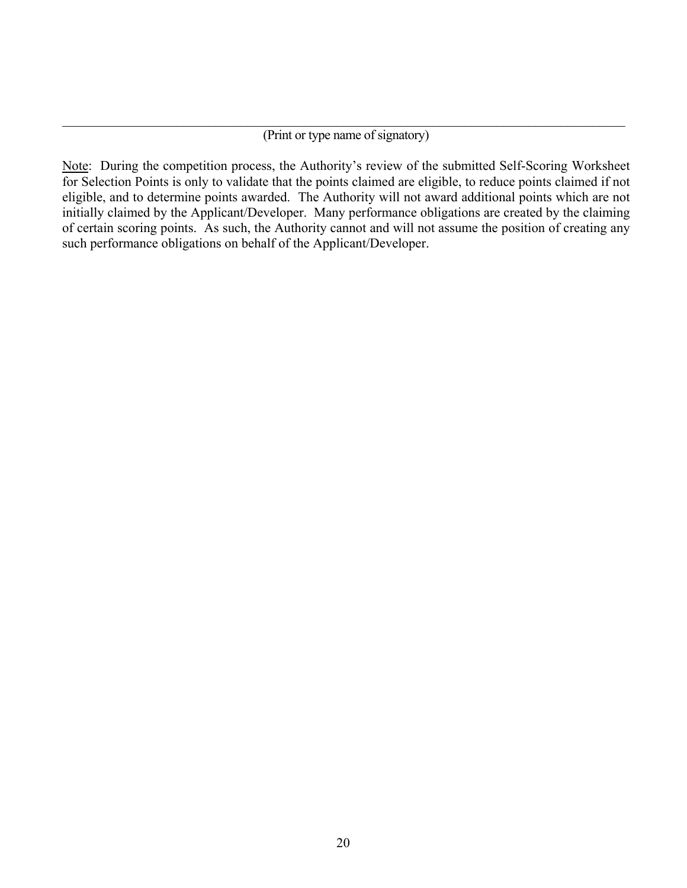#### $\mathcal{L}_\mathcal{L} = \mathcal{L}_\mathcal{L} = \mathcal{L}_\mathcal{L} = \mathcal{L}_\mathcal{L} = \mathcal{L}_\mathcal{L} = \mathcal{L}_\mathcal{L} = \mathcal{L}_\mathcal{L} = \mathcal{L}_\mathcal{L} = \mathcal{L}_\mathcal{L} = \mathcal{L}_\mathcal{L} = \mathcal{L}_\mathcal{L} = \mathcal{L}_\mathcal{L} = \mathcal{L}_\mathcal{L} = \mathcal{L}_\mathcal{L} = \mathcal{L}_\mathcal{L} = \mathcal{L}_\mathcal{L} = \mathcal{L}_\mathcal{L}$ (Print or type name of signatory)

Note: During the competition process, the Authority's review of the submitted Self-Scoring Worksheet for Selection Points is only to validate that the points claimed are eligible, to reduce points claimed if not eligible, and to determine points awarded. The Authority will not award additional points which are not initially claimed by the Applicant/Developer. Many performance obligations are created by the claiming of certain scoring points. As such, the Authority cannot and will not assume the position of creating any such performance obligations on behalf of the Applicant/Developer.